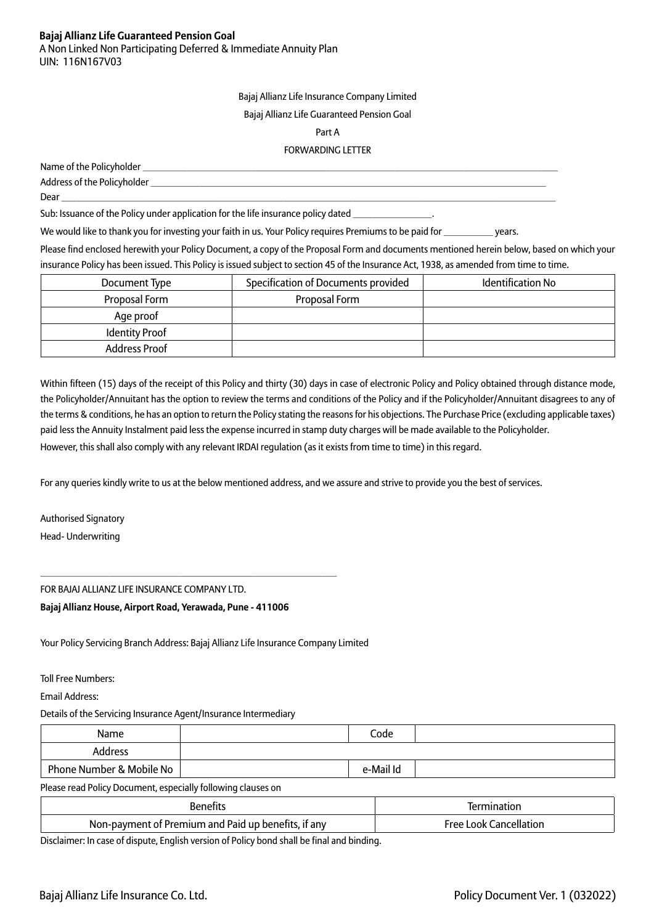A Non Linked Non Participating Deferred & Immediate Annuity Plan UIN: 116N167V03

Bajaj Allianz Life Insurance Company Limited

#### Bajaj Allianz Life Guaranteed Pension Goal

#### Part A

#### FORWARDING LETTER

| Name of the Policyholder    |
|-----------------------------|
| Address of the Policyholder |
| Dear                        |

Sub: Issuance of the Policy under application for the life insurance policy dated

We would like to thank you for investing your faith in us. Your Policy requires Premiums to be paid for \_\_\_\_\_\_\_\_\_\_ years.

Please find enclosed herewith your Policy Document, a copy of the Proposal Form and documents mentioned herein below, based on which your insurance Policy has been issued. This Policy is issued subject to section 45 of the Insurance Act, 1938, as amended from time to time.

| Document Type         | Specification of Documents provided | <b>Identification No</b> |
|-----------------------|-------------------------------------|--------------------------|
| Proposal Form         | Proposal Form                       |                          |
| Age proof             |                                     |                          |
| <b>Identity Proof</b> |                                     |                          |
| <b>Address Proof</b>  |                                     |                          |

Within fifteen (15) days of the receipt of this Policy and thirty (30) days in case of electronic Policy and Policy obtained through distance mode, the Policyholder/Annuitant has the option to review the terms and conditions of the Policy and if the Policyholder/Annuitant disagrees to any of the terms & conditions, he has an option to return the Policy stating the reasons for his objections. The Purchase Price (excluding applicable taxes) paid less the Annuity Instalment paid less the expense incurred in stamp duty charges will be made available to the Policyholder.

However, this shall also comply with any relevant IRDAI regulation (as it exists from time to time) in this regard.

For any queries kindly write to us at the below mentioned address, and we assure and strive to provide you the best of services.

Authorised Signatory Head- Underwriting

FOR BAJAJ ALLIANZ LIFE INSURANCE COMPANY LTD.

**Bajaj Allianz House, Airport Road, Yerawada, Pune - 411006**

\_\_\_\_\_\_\_\_\_\_\_\_\_\_\_\_\_\_\_\_\_\_\_\_\_\_\_\_\_\_\_\_\_\_\_\_\_\_\_\_\_\_\_\_\_\_\_\_\_\_\_\_\_\_\_\_\_\_\_\_

Your Policy Servicing Branch Address: Bajaj Allianz Life Insurance Company Limited

Toll Free Numbers:

Email Address:

Details of the Servicing Insurance Agent/Insurance Intermediary

| Name                     | Code      |  |
|--------------------------|-----------|--|
| Address                  |           |  |
| Phone Number & Mobile No | e-Mail Id |  |

Please read Policy Document, especially following clauses on

|                                                                                         | rior                                   |
|-----------------------------------------------------------------------------------------|----------------------------------------|
| Premium<br>it any<br>' Paid<br>. and<br>$\blacksquare$<br>ΩŤ<br>benefits<br>Non-payment | <b>Free</b><br>nnk<br>anc<br>`Allati∩i |

Disclaimer: In case of dispute, English version of Policy bond shall be final and binding.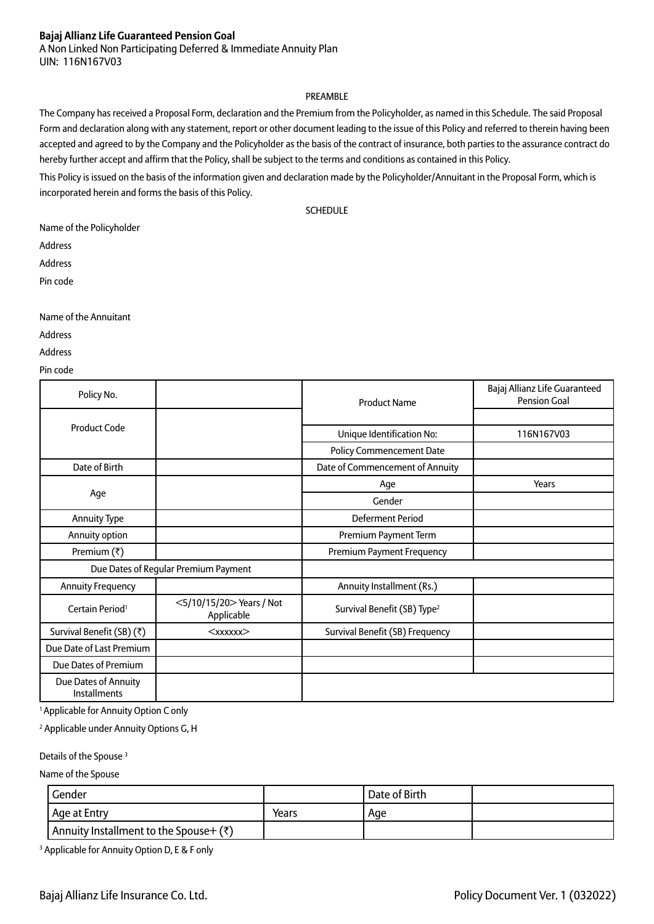A Non Linked Non Participating Deferred & Immediate Annuity Plan UIN: 116N167V03

#### PREAMBLE

The Company has received a Proposal Form, declaration and the Premium from the Policyholder, as named in this Schedule. The said Proposal Form and declaration along with any statement, report or other document leading to the issue of this Policy and referred to therein having been accepted and agreed to by the Company and the Policyholder as the basis of the contract of insurance, both parties to the assurance contract do hereby further accept and affirm that the Policy, shall be subject to the terms and conditions as contained in this Policy.

This Policy is issued on the basis of the information given and declaration made by the Policyholder/Annuitant in the Proposal Form, which is incorporated herein and forms the basis of this Policy.

**SCHEDULE** 

Name of the Policyholder

Address

Address

Pin code

Name of the Annuitant

Address

Address

Pin code

| Policy No.                                  |                                       | <b>Product Name</b>                     | Bajaj Allianz Life Guaranteed<br><b>Pension Goal</b> |
|---------------------------------------------|---------------------------------------|-----------------------------------------|------------------------------------------------------|
|                                             |                                       |                                         |                                                      |
| <b>Product Code</b>                         |                                       | Unique Identification No:               | 116N167V03                                           |
|                                             |                                       | <b>Policy Commencement Date</b>         |                                                      |
| Date of Birth                               |                                       | Date of Commencement of Annuity         |                                                      |
|                                             |                                       | Age                                     | Years                                                |
| Age                                         |                                       | Gender                                  |                                                      |
| Annuity Type                                |                                       | Deferment Period                        |                                                      |
| Annuity option                              |                                       | Premium Payment Term                    |                                                      |
| Premium $(\bar{x})$                         |                                       | <b>Premium Payment Frequency</b>        |                                                      |
|                                             | Due Dates of Regular Premium Payment  |                                         |                                                      |
| <b>Annuity Frequency</b>                    |                                       | Annuity Installment (Rs.)               |                                                      |
| Certain Period <sup>1</sup>                 | <5/10/15/20>Years / Not<br>Applicable | Survival Benefit (SB) Type <sup>2</sup> |                                                      |
| Survival Benefit (SB) (₹)                   | $&\times$ xxxxx $&\times$             | Survival Benefit (SB) Frequency         |                                                      |
| Due Date of Last Premium                    |                                       |                                         |                                                      |
| Due Dates of Premium                        |                                       |                                         |                                                      |
| Due Dates of Annuity<br><b>Installments</b> |                                       |                                         |                                                      |

<sup>1</sup> Applicable for Annuity Option C only

2 Applicable under Annuity Options G, H

Details of the Spouse<sup>3</sup>

Name of the Spouse

| Gender                                 |       | Date of Birth |  |
|----------------------------------------|-------|---------------|--|
| l Age at Entry                         | Years | Age           |  |
| Annuity Installment to the Spouse+ (₹) |       |               |  |

3 Applicable for Annuity Option D, E & F only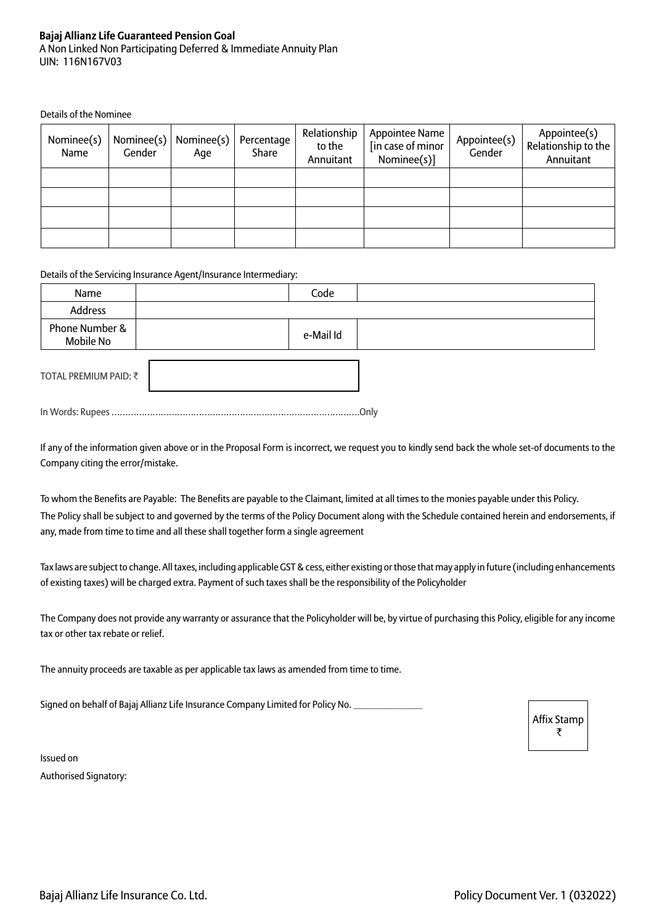#### **Bajaj Allianz Life Guaranteed Pension Goal** A Non Linked Non Participating Deferred & Immediate Annuity Plan UIN: 116N167V03

Details of the Nominee

| Nominee(s)<br>Name | Gender | Nominee(s)   Nominee(s)<br>Aqe | Percentage<br>Share | Relationship<br>to the<br>Annuitant | Appointee Name<br>[in case of minor<br>Nominee(s)] | Appointee(s)<br>Gender | Appointee(s)<br>Relationship to the<br>Annuitant |
|--------------------|--------|--------------------------------|---------------------|-------------------------------------|----------------------------------------------------|------------------------|--------------------------------------------------|
|                    |        |                                |                     |                                     |                                                    |                        |                                                  |
|                    |        |                                |                     |                                     |                                                    |                        |                                                  |
|                    |        |                                |                     |                                     |                                                    |                        |                                                  |
|                    |        |                                |                     |                                     |                                                    |                        |                                                  |

#### Details of the Servicing Insurance Agent/Insurance Intermediary:

| Name                        | Code      |  |
|-----------------------------|-----------|--|
| Address                     |           |  |
| Phone Number &<br>Mobile No | e-Mail Id |  |
| TOTAL PREMIUM PAID: ₹       |           |  |

In Words: Rupees ……………………………………………………………………………….Only

If any of the information given above or in the Proposal Form is incorrect, we request you to kindly send back the whole set-of documents to the Company citing the error/mistake.

To whom the Benefits are Payable: The Benefits are payable to the Claimant, limited at all times to the monies payable under this Policy. The Policy shall be subject to and governed by the terms of the Policy Document along with the Schedule contained herein and endorsements, if any, made from time to time and all these shall together form a single agreement

Tax laws are subject to change. All taxes, including applicable GST & cess, either existing or those that may apply in future (including enhancements of existing taxes) will be charged extra. Payment of such taxes shall be the responsibility of the Policyholder

The Company does not provide any warranty or assurance that the Policyholder will be, by virtue of purchasing this Policy, eligible for any income tax or other tax rebate or relief.

The annuity proceeds are taxable as per applicable tax laws as amended from time to time.

Signed on behalf of Bajaj Allianz Life Insurance Company Limited for Policy No.

Affix Stamp ₹

Issued on Authorised Signatory: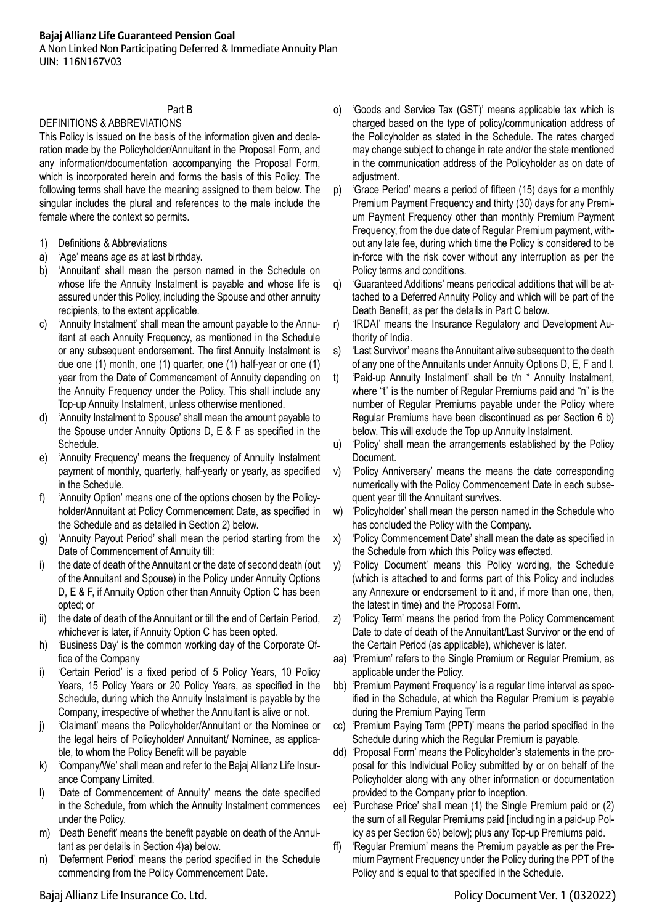A Non Linked Non Participating Deferred & Immediate Annuity Plan UIN: 116N167V03

## Part B

#### DEFINITIONS & ABBREVIATIONS

This Policy is issued on the basis of the information given and declaration made by the Policyholder/Annuitant in the Proposal Form, and any information/documentation accompanying the Proposal Form, which is incorporated herein and forms the basis of this Policy. The following terms shall have the meaning assigned to them below. The singular includes the plural and references to the male include the female where the context so permits.

- 1) Definitions & Abbreviations
- a) 'Age' means age as at last birthday.
- b) 'Annuitant' shall mean the person named in the Schedule on whose life the Annuity Instalment is payable and whose life is assured under this Policy, including the Spouse and other annuity recipients, to the extent applicable.
- c) 'Annuity Instalment' shall mean the amount payable to the Annuitant at each Annuity Frequency, as mentioned in the Schedule or any subsequent endorsement. The first Annuity Instalment is due one (1) month, one (1) quarter, one (1) half-year or one (1) year from the Date of Commencement of Annuity depending on the Annuity Frequency under the Policy. This shall include any Top-up Annuity Instalment, unless otherwise mentioned.
- d) 'Annuity Instalment to Spouse' shall mean the amount payable to the Spouse under Annuity Options D, E & F as specified in the Schedule.
- e) 'Annuity Frequency' means the frequency of Annuity Instalment payment of monthly, quarterly, half-yearly or yearly, as specified in the Schedule.
- f) 'Annuity Option' means one of the options chosen by the Policyholder/Annuitant at Policy Commencement Date, as specified in the Schedule and as detailed in Section 2) below.
- g) 'Annuity Payout Period' shall mean the period starting from the Date of Commencement of Annuity till:
- i) the date of death of the Annuitant or the date of second death (out of the Annuitant and Spouse) in the Policy under Annuity Options D, E & F, if Annuity Option other than Annuity Option C has been opted; or
- ii) the date of death of the Annuitant or till the end of Certain Period, whichever is later, if Annuity Option C has been opted.
- h) 'Business Day' is the common working day of the Corporate Office of the Company
- i) 'Certain Period' is a fixed period of 5 Policy Years, 10 Policy Years, 15 Policy Years or 20 Policy Years, as specified in the Schedule, during which the Annuity Instalment is payable by the Company, irrespective of whether the Annuitant is alive or not.
- j) 'Claimant' means the Policyholder/Annuitant or the Nominee or the legal heirs of Policyholder/ Annuitant/ Nominee, as applicable, to whom the Policy Benefit will be payable
- k) 'Company/We' shall mean and refer to the Bajaj Allianz Life Insurance Company Limited.
- I) 'Date of Commencement of Annuity' means the date specified in the Schedule, from which the Annuity Instalment commences under the Policy.
- m) 'Death Benefit' means the benefit payable on death of the Annuitant as per details in Section 4)a) below.
- n) 'Deferment Period' means the period specified in the Schedule commencing from the Policy Commencement Date.
- o) 'Goods and Service Tax (GST)' means applicable tax which is charged based on the type of policy/communication address of the Policyholder as stated in the Schedule. The rates charged may change subject to change in rate and/or the state mentioned in the communication address of the Policyholder as on date of adjustment.
- p) 'Grace Period' means a period of fifteen (15) days for a monthly Premium Payment Frequency and thirty (30) days for any Premium Payment Frequency other than monthly Premium Payment Frequency, from the due date of Regular Premium payment, without any late fee, during which time the Policy is considered to be in-force with the risk cover without any interruption as per the Policy terms and conditions.
- q) 'Guaranteed Additions' means periodical additions that will be attached to a Deferred Annuity Policy and which will be part of the Death Benefit, as per the details in Part C below.
- r) 'IRDAI' means the Insurance Regulatory and Development Authority of India.
- s) 'Last Survivor' means the Annuitant alive subsequent to the death of any one of the Annuitants under Annuity Options D, E, F and I.
- t) 'Paid-up Annuity Instalment' shall be t/n \* Annuity Instalment, where "t" is the number of Regular Premiums paid and "n" is the number of Regular Premiums payable under the Policy where Regular Premiums have been discontinued as per Section 6 b) below. This will exclude the Top up Annuity Instalment.
- u) 'Policy' shall mean the arrangements established by the Policy Document.
- v) 'Policy Anniversary' means the means the date corresponding numerically with the Policy Commencement Date in each subsequent year till the Annuitant survives.
- w) 'Policyholder' shall mean the person named in the Schedule who has concluded the Policy with the Company.
- x) 'Policy Commencement Date' shall mean the date as specified in the Schedule from which this Policy was effected.
- y) 'Policy Document' means this Policy wording, the Schedule (which is attached to and forms part of this Policy and includes any Annexure or endorsement to it and, if more than one, then, the latest in time) and the Proposal Form.
- z) 'Policy Term' means the period from the Policy Commencement Date to date of death of the Annuitant/Last Survivor or the end of the Certain Period (as applicable), whichever is later.
- aa) 'Premium' refers to the Single Premium or Regular Premium, as applicable under the Policy.
- bb) 'Premium Payment Frequency' is a regular time interval as specified in the Schedule, at which the Regular Premium is payable during the Premium Paying Term
- cc) 'Premium Paying Term (PPT)' means the period specified in the Schedule during which the Regular Premium is payable.
- dd) 'Proposal Form' means the Policyholder's statements in the proposal for this Individual Policy submitted by or on behalf of the Policyholder along with any other information or documentation provided to the Company prior to inception.
- ee) 'Purchase Price' shall mean (1) the Single Premium paid or (2) the sum of all Regular Premiums paid [including in a paid-up Policy as per Section 6b) below]; plus any Top-up Premiums paid.
- ff) 'Regular Premium' means the Premium payable as per the Premium Payment Frequency under the Policy during the PPT of the Policy and is equal to that specified in the Schedule.

Bajaj Allianz Life Insurance Co. Ltd. Policy Document Ver. 1 (032022)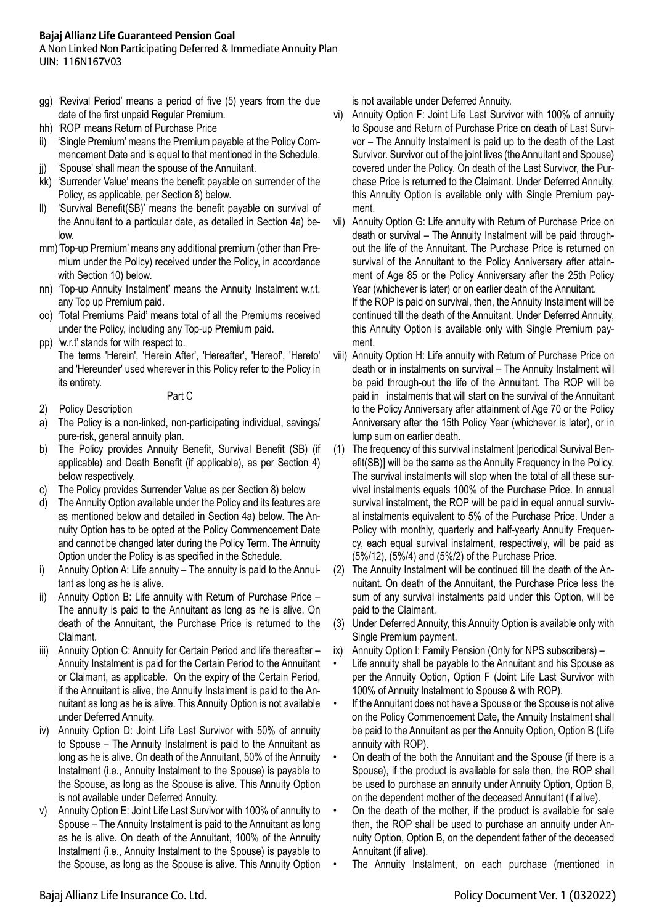A Non Linked Non Participating Deferred & Immediate Annuity Plan UIN: 116N167V03

- gg) 'Revival Period' means a period of five (5) years from the due date of the first unpaid Regular Premium.
- hh) 'ROP' means Return of Purchase Price
- ii) 'Single Premium' means the Premium payable at the Policy Commencement Date and is equal to that mentioned in the Schedule.
- jj) 'Spouse' shall mean the spouse of the Annuitant.
- kk) 'Surrender Value' means the benefit payable on surrender of the Policy, as applicable, per Section 8) below.
- ll) 'Survival Benefit(SB)' means the benefit payable on survival of the Annuitant to a particular date, as detailed in Section 4a) below.
- mm)'Top-up Premium' means any additional premium (other than Premium under the Policy) received under the Policy, in accordance with Section 10) below.
- nn) 'Top-up Annuity Instalment' means the Annuity Instalment w.r.t. any Top up Premium paid.
- oo) 'Total Premiums Paid' means total of all the Premiums received under the Policy, including any Top-up Premium paid.
- pp) 'w.r.t' stands for with respect to.

The terms 'Herein', 'Herein After', 'Hereafter', 'Hereof', 'Hereto' and 'Hereunder' used wherever in this Policy refer to the Policy in its entirety.

Part C

- 2) Policy Description
- a) The Policy is a non-linked, non-participating individual, savings/ pure-risk, general annuity plan.
- b) The Policy provides Annuity Benefit, Survival Benefit (SB) (if applicable) and Death Benefit (if applicable), as per Section 4) below respectively.
- c) The Policy provides Surrender Value as per Section 8) below
- d) The Annuity Option available under the Policy and its features are as mentioned below and detailed in Section 4a) below. The Annuity Option has to be opted at the Policy Commencement Date and cannot be changed later during the Policy Term. The Annuity Option under the Policy is as specified in the Schedule.
- i) Annuity Option A: Life annuity The annuity is paid to the Annuitant as long as he is alive.
- ii) Annuity Option B: Life annuity with Return of Purchase Price The annuity is paid to the Annuitant as long as he is alive. On death of the Annuitant, the Purchase Price is returned to the Claimant.
- iii) Annuity Option C: Annuity for Certain Period and life thereafter Annuity Instalment is paid for the Certain Period to the Annuitant or Claimant, as applicable. On the expiry of the Certain Period, if the Annuitant is alive, the Annuity Instalment is paid to the Annuitant as long as he is alive. This Annuity Option is not available under Deferred Annuity.
- iv) Annuity Option D: Joint Life Last Survivor with 50% of annuity to Spouse – The Annuity Instalment is paid to the Annuitant as long as he is alive. On death of the Annuitant, 50% of the Annuity Instalment (i.e., Annuity Instalment to the Spouse) is payable to the Spouse, as long as the Spouse is alive. This Annuity Option is not available under Deferred Annuity.
- v) Annuity Option E: Joint Life Last Survivor with 100% of annuity to Spouse – The Annuity Instalment is paid to the Annuitant as long as he is alive. On death of the Annuitant, 100% of the Annuity Instalment (i.e., Annuity Instalment to the Spouse) is payable to the Spouse, as long as the Spouse is alive. This Annuity Option

is not available under Deferred Annuity.

vi) Annuity Option F: Joint Life Last Survivor with 100% of annuity to Spouse and Return of Purchase Price on death of Last Survivor – The Annuity Instalment is paid up to the death of the Last Survivor. Survivor out of the joint lives (the Annuitant and Spouse) covered under the Policy. On death of the Last Survivor, the Purchase Price is returned to the Claimant. Under Deferred Annuity, this Annuity Option is available only with Single Premium payment.

vii) Annuity Option G: Life annuity with Return of Purchase Price on death or survival – The Annuity Instalment will be paid throughout the life of the Annuitant. The Purchase Price is returned on survival of the Annuitant to the Policy Anniversary after attainment of Age 85 or the Policy Anniversary after the 25th Policy Year (whichever is later) or on earlier death of the Annuitant. If the ROP is paid on survival, then, the Annuity Instalment will be continued till the death of the Annuitant. Under Deferred Annuity, this Annuity Option is available only with Single Premium payment.

- viii) Annuity Option H: Life annuity with Return of Purchase Price on death or in instalments on survival – The Annuity Instalment will be paid through-out the life of the Annuitant. The ROP will be paid in instalments that will start on the survival of the Annuitant to the Policy Anniversary after attainment of Age 70 or the Policy Anniversary after the 15th Policy Year (whichever is later), or in lump sum on earlier death.
- (1) The frequency of this survival instalment [periodical Survival Benefit(SB)] will be the same as the Annuity Frequency in the Policy. The survival instalments will stop when the total of all these survival instalments equals 100% of the Purchase Price. In annual survival instalment, the ROP will be paid in equal annual survival instalments equivalent to 5% of the Purchase Price. Under a Policy with monthly, quarterly and half-yearly Annuity Frequency, each equal survival instalment, respectively, will be paid as (5%/12), (5%/4) and (5%/2) of the Purchase Price.
- (2) The Annuity Instalment will be continued till the death of the Annuitant. On death of the Annuitant, the Purchase Price less the sum of any survival instalments paid under this Option, will be paid to the Claimant.
- (3) Under Deferred Annuity, this Annuity Option is available only with Single Premium payment.
- ix) Annuity Option I: Family Pension (Only for NPS subscribers) –
- Life annuity shall be payable to the Annuitant and his Spouse as per the Annuity Option, Option F (Joint Life Last Survivor with 100% of Annuity Instalment to Spouse & with ROP).
- If the Annuitant does not have a Spouse or the Spouse is not alive on the Policy Commencement Date, the Annuity Instalment shall be paid to the Annuitant as per the Annuity Option, Option B (Life annuity with ROP).
- On death of the both the Annuitant and the Spouse (if there is a Spouse), if the product is available for sale then, the ROP shall be used to purchase an annuity under Annuity Option, Option B, on the dependent mother of the deceased Annuitant (if alive).
- On the death of the mother, if the product is available for sale then, the ROP shall be used to purchase an annuity under Annuity Option, Option B, on the dependent father of the deceased Annuitant (if alive).
- The Annuity Instalment, on each purchase (mentioned in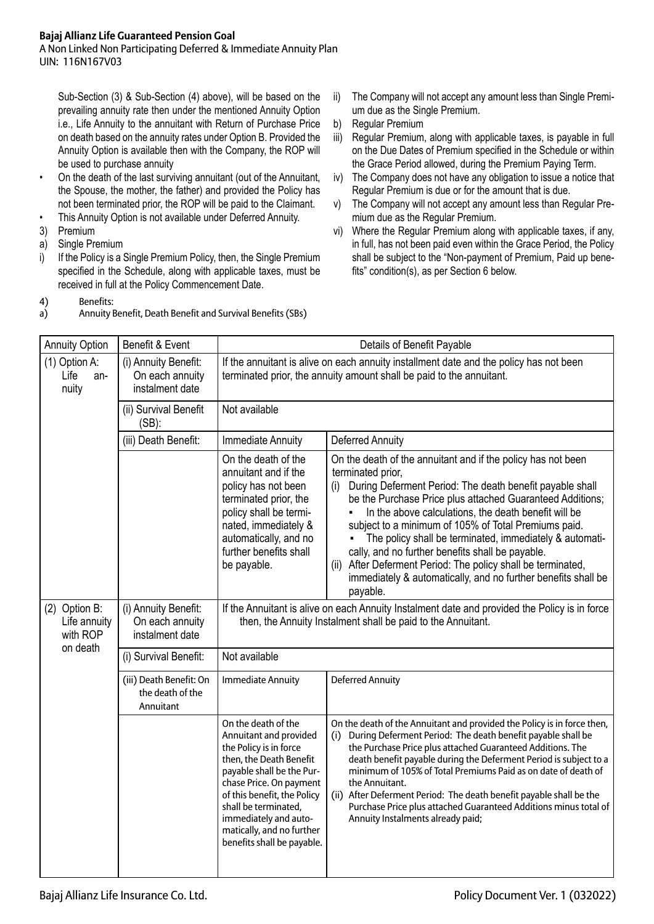A Non Linked Non Participating Deferred & Immediate Annuity Plan UIN: 116N167V03

Sub-Section (3) & Sub-Section (4) above), will be based on the prevailing annuity rate then under the mentioned Annuity Option i.e., Life Annuity to the annuitant with Return of Purchase Price on death based on the annuity rates under Option B. Provided the Annuity Option is available then with the Company, the ROP will be used to purchase annuity

- On the death of the last surviving annuitant (out of the Annuitant, the Spouse, the mother, the father) and provided the Policy has not been terminated prior, the ROP will be paid to the Claimant.
- This Annuity Option is not available under Deferred Annuity.
- 3) Premium
- a) Single Premium
- i) If the Policy is a Single Premium Policy, then, the Single Premium specified in the Schedule, along with applicable taxes, must be received in full at the Policy Commencement Date.
- 4) Benefits:
- a) Annuity Benefit, Death Benefit and Survival Benefits (SBs)
- ii) The Company will not accept any amount less than Single Premium due as the Single Premium.
- b) Regular Premium
- iii) Regular Premium, along with applicable taxes, is payable in full on the Due Dates of Premium specified in the Schedule or within the Grace Period allowed, during the Premium Paying Term.
- iv) The Company does not have any obligation to issue a notice that Regular Premium is due or for the amount that is due.
- v) The Company will not accept any amount less than Regular Premium due as the Regular Premium.
- vi) Where the Regular Premium along with applicable taxes, if any, in full, has not been paid even within the Grace Period, the Policy shall be subject to the "Non-payment of Premium, Paid up benefits" condition(s), as per Section 6 below.

| <b>Annuity Option</b>                                 | Benefit & Event                                            | Details of Benefit Payable                                                                                                                                                                                                                                                                            |                                                                                                                                                                                                                                                                                                                                                                                                                                                                                                                                                                                                  |  |
|-------------------------------------------------------|------------------------------------------------------------|-------------------------------------------------------------------------------------------------------------------------------------------------------------------------------------------------------------------------------------------------------------------------------------------------------|--------------------------------------------------------------------------------------------------------------------------------------------------------------------------------------------------------------------------------------------------------------------------------------------------------------------------------------------------------------------------------------------------------------------------------------------------------------------------------------------------------------------------------------------------------------------------------------------------|--|
| (1) Option A:<br>Life<br>an-<br>nuity                 | (i) Annuity Benefit:<br>On each annuity<br>instalment date | If the annuitant is alive on each annuity installment date and the policy has not been<br>terminated prior, the annuity amount shall be paid to the annuitant.                                                                                                                                        |                                                                                                                                                                                                                                                                                                                                                                                                                                                                                                                                                                                                  |  |
|                                                       | (ii) Survival Benefit<br>$(SB)$ :                          | Not available                                                                                                                                                                                                                                                                                         |                                                                                                                                                                                                                                                                                                                                                                                                                                                                                                                                                                                                  |  |
|                                                       | (iii) Death Benefit:                                       | Immediate Annuity                                                                                                                                                                                                                                                                                     | <b>Deferred Annuity</b>                                                                                                                                                                                                                                                                                                                                                                                                                                                                                                                                                                          |  |
|                                                       |                                                            | On the death of the<br>annuitant and if the<br>policy has not been<br>terminated prior, the<br>policy shall be termi-<br>nated, immediately &<br>automatically, and no<br>further benefits shall<br>be payable.                                                                                       | On the death of the annuitant and if the policy has not been<br>terminated prior,<br>During Deferment Period: The death benefit payable shall<br>(i)<br>be the Purchase Price plus attached Guaranteed Additions;<br>In the above calculations, the death benefit will be<br>subject to a minimum of 105% of Total Premiums paid.<br>The policy shall be terminated, immediately & automati-<br>cally, and no further benefits shall be payable.<br>After Deferment Period: The policy shall be terminated,<br>(ii)<br>immediately & automatically, and no further benefits shall be<br>payable. |  |
| (2) Option B:<br>Life annuity<br>with ROP<br>on death | (i) Annuity Benefit:<br>On each annuity<br>instalment date | If the Annuitant is alive on each Annuity Instalment date and provided the Policy is in force<br>then, the Annuity Instalment shall be paid to the Annuitant.                                                                                                                                         |                                                                                                                                                                                                                                                                                                                                                                                                                                                                                                                                                                                                  |  |
|                                                       | (i) Survival Benefit:                                      | Not available                                                                                                                                                                                                                                                                                         |                                                                                                                                                                                                                                                                                                                                                                                                                                                                                                                                                                                                  |  |
|                                                       | (iii) Death Benefit: On<br>the death of the<br>Annuitant   | <b>Immediate Annuity</b>                                                                                                                                                                                                                                                                              | <b>Deferred Annuity</b>                                                                                                                                                                                                                                                                                                                                                                                                                                                                                                                                                                          |  |
|                                                       |                                                            | On the death of the<br>Annuitant and provided<br>the Policy is in force<br>then, the Death Benefit<br>payable shall be the Pur-<br>chase Price. On payment<br>of this benefit, the Policy<br>shall be terminated,<br>immediately and auto-<br>matically, and no further<br>benefits shall be payable. | On the death of the Annuitant and provided the Policy is in force then,<br>During Deferment Period: The death benefit payable shall be<br>(i)<br>the Purchase Price plus attached Guaranteed Additions. The<br>death benefit payable during the Deferment Period is subject to a<br>minimum of 105% of Total Premiums Paid as on date of death of<br>the Annuitant.<br>(ii) After Deferment Period: The death benefit payable shall be the<br>Purchase Price plus attached Guaranteed Additions minus total of<br>Annuity Instalments already paid;                                              |  |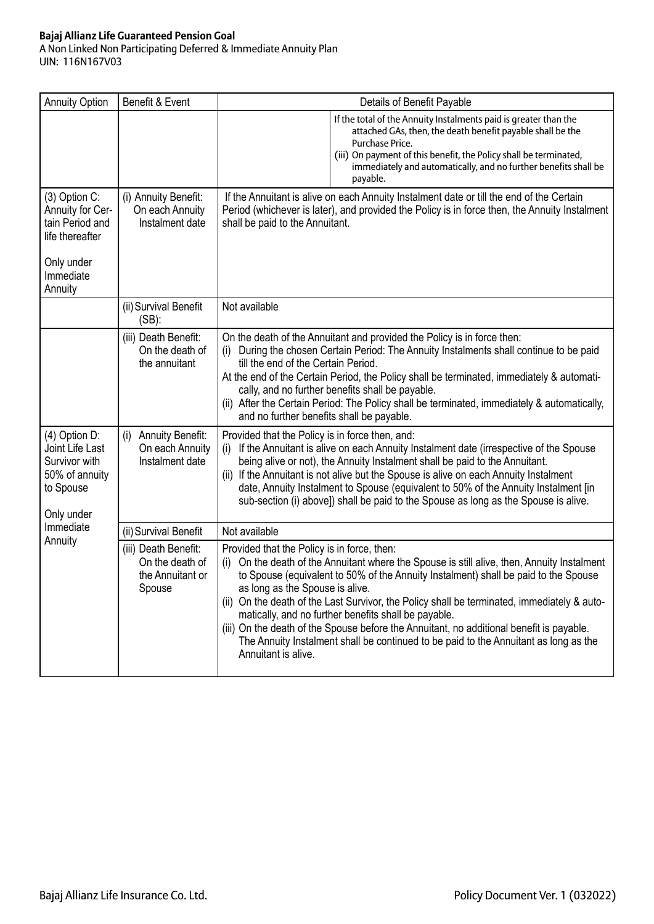A Non Linked Non Participating Deferred & Immediate Annuity Plan UIN: 116N167V03

| <b>Annuity Option</b>                                                                                         | Benefit & Event                                                       |                                                                                                              | Details of Benefit Payable                                                                                                                                                                                                                                                                                                                                                                                                                                                                                                |
|---------------------------------------------------------------------------------------------------------------|-----------------------------------------------------------------------|--------------------------------------------------------------------------------------------------------------|---------------------------------------------------------------------------------------------------------------------------------------------------------------------------------------------------------------------------------------------------------------------------------------------------------------------------------------------------------------------------------------------------------------------------------------------------------------------------------------------------------------------------|
|                                                                                                               |                                                                       |                                                                                                              | If the total of the Annuity Instalments paid is greater than the<br>attached GAs, then, the death benefit payable shall be the<br>Purchase Price.<br>(iii) On payment of this benefit, the Policy shall be terminated,<br>immediately and automatically, and no further benefits shall be<br>payable.                                                                                                                                                                                                                     |
| (3) Option C:<br>Annuity for Cer-<br>tain Period and<br>life thereafter<br>Only under<br>Immediate<br>Annuity | (i) Annuity Benefit:<br>On each Annuity<br>Instalment date            | shall be paid to the Annuitant.                                                                              | If the Annuitant is alive on each Annuity Instalment date or till the end of the Certain<br>Period (whichever is later), and provided the Policy is in force then, the Annuity Instalment                                                                                                                                                                                                                                                                                                                                 |
|                                                                                                               | (ii) Survival Benefit<br>$(SB)$ :                                     | Not available                                                                                                |                                                                                                                                                                                                                                                                                                                                                                                                                                                                                                                           |
|                                                                                                               | (iii) Death Benefit:<br>On the death of<br>the annuitant              | (i)<br>till the end of the Certain Period.<br>and no further benefits shall be payable.                      | On the death of the Annuitant and provided the Policy is in force then:<br>During the chosen Certain Period: The Annuity Instalments shall continue to be paid<br>At the end of the Certain Period, the Policy shall be terminated, immediately & automati-<br>cally, and no further benefits shall be payable.<br>(ii) After the Certain Period: The Policy shall be terminated, immediately & automatically,                                                                                                            |
| (4) Option D:<br>Joint Life Last<br>Survivor with<br>50% of annuity<br>to Spouse<br>Only under                | <b>Annuity Benefit:</b><br>(i)<br>On each Annuity<br>Instalment date  | Provided that the Policy is in force then, and:<br>(i)<br>(ii)                                               | If the Annuitant is alive on each Annuity Instalment date (irrespective of the Spouse<br>being alive or not), the Annuity Instalment shall be paid to the Annuitant.<br>If the Annuitant is not alive but the Spouse is alive on each Annuity Instalment<br>date, Annuity Instalment to Spouse (equivalent to 50% of the Annuity Instalment [in<br>sub-section (i) above]) shall be paid to the Spouse as long as the Spouse is alive.                                                                                    |
| Immediate                                                                                                     | (ii) Survival Benefit                                                 | Not available                                                                                                |                                                                                                                                                                                                                                                                                                                                                                                                                                                                                                                           |
| Annuity                                                                                                       | (iii) Death Benefit:<br>On the death of<br>the Annuitant or<br>Spouse | Provided that the Policy is in force, then:<br>(i)<br>as long as the Spouse is alive.<br>Annuitant is alive. | On the death of the Annuitant where the Spouse is still alive, then, Annuity Instalment<br>to Spouse (equivalent to 50% of the Annuity Instalment) shall be paid to the Spouse<br>(ii) On the death of the Last Survivor, the Policy shall be terminated, immediately & auto-<br>matically, and no further benefits shall be payable.<br>(iii) On the death of the Spouse before the Annuitant, no additional benefit is payable.<br>The Annuity Instalment shall be continued to be paid to the Annuitant as long as the |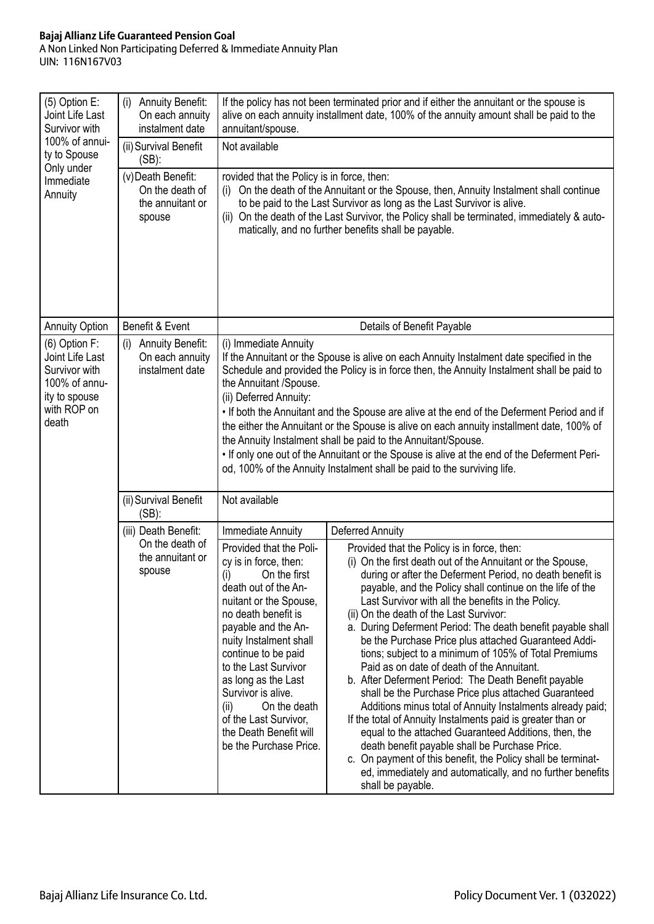A Non Linked Non Participating Deferred & Immediate Annuity Plan UIN: 116N167V03

| (5) Option E:<br>Joint Life Last<br>Survivor with<br>100% of annui-<br>ty to Spouse                         | <b>Annuity Benefit:</b><br>(i)<br>On each annuity<br>instalment date<br>(ii) Survival Benefit | annuitant/spouse.<br>Not available                                                                                                                                                                                                                                                                                                                                                                                                                                                                                                                                                                                                                                                                        | If the policy has not been terminated prior and if either the annuitant or the spouse is<br>alive on each annuity installment date, 100% of the annuity amount shall be paid to the                                                                                                                                                                                                                                                                                                                                                                                                                                                                                                                                                                                                                                                                                                                                                                                                                                                                                           |  |
|-------------------------------------------------------------------------------------------------------------|-----------------------------------------------------------------------------------------------|-----------------------------------------------------------------------------------------------------------------------------------------------------------------------------------------------------------------------------------------------------------------------------------------------------------------------------------------------------------------------------------------------------------------------------------------------------------------------------------------------------------------------------------------------------------------------------------------------------------------------------------------------------------------------------------------------------------|-------------------------------------------------------------------------------------------------------------------------------------------------------------------------------------------------------------------------------------------------------------------------------------------------------------------------------------------------------------------------------------------------------------------------------------------------------------------------------------------------------------------------------------------------------------------------------------------------------------------------------------------------------------------------------------------------------------------------------------------------------------------------------------------------------------------------------------------------------------------------------------------------------------------------------------------------------------------------------------------------------------------------------------------------------------------------------|--|
| Only under<br>Immediate<br>Annuity                                                                          | $(SB)$ :<br>(v)Death Benefit:<br>On the death of<br>the annuitant or<br>spouse                | rovided that the Policy is in force, then:<br>On the death of the Annuitant or the Spouse, then, Annuity Instalment shall continue<br>(i)<br>to be paid to the Last Survivor as long as the Last Survivor is alive.<br>On the death of the Last Survivor, the Policy shall be terminated, immediately & auto-<br>(ii)<br>matically, and no further benefits shall be payable.                                                                                                                                                                                                                                                                                                                             |                                                                                                                                                                                                                                                                                                                                                                                                                                                                                                                                                                                                                                                                                                                                                                                                                                                                                                                                                                                                                                                                               |  |
| <b>Annuity Option</b>                                                                                       | Benefit & Event                                                                               |                                                                                                                                                                                                                                                                                                                                                                                                                                                                                                                                                                                                                                                                                                           | Details of Benefit Payable                                                                                                                                                                                                                                                                                                                                                                                                                                                                                                                                                                                                                                                                                                                                                                                                                                                                                                                                                                                                                                                    |  |
| (6) Option F:<br>Joint Life Last<br>Survivor with<br>100% of annu-<br>ity to spouse<br>with ROP on<br>death | <b>Annuity Benefit:</b><br>(i)<br>On each annuity<br>instalment date                          | (i) Immediate Annuity<br>If the Annuitant or the Spouse is alive on each Annuity Instalment date specified in the<br>Schedule and provided the Policy is in force then, the Annuity Instalment shall be paid to<br>the Annuitant /Spouse.<br>(ii) Deferred Annuity:<br>. If both the Annuitant and the Spouse are alive at the end of the Deferment Period and if<br>the either the Annuitant or the Spouse is alive on each annuity installment date, 100% of<br>the Annuity Instalment shall be paid to the Annuitant/Spouse.<br>. If only one out of the Annuitant or the Spouse is alive at the end of the Deferment Peri-<br>od, 100% of the Annuity Instalment shall be paid to the surviving life. |                                                                                                                                                                                                                                                                                                                                                                                                                                                                                                                                                                                                                                                                                                                                                                                                                                                                                                                                                                                                                                                                               |  |
|                                                                                                             | (ii) Survival Benefit<br>$(SB)$ :                                                             | Not available                                                                                                                                                                                                                                                                                                                                                                                                                                                                                                                                                                                                                                                                                             |                                                                                                                                                                                                                                                                                                                                                                                                                                                                                                                                                                                                                                                                                                                                                                                                                                                                                                                                                                                                                                                                               |  |
|                                                                                                             | (iii) Death Benefit:                                                                          | Immediate Annuity                                                                                                                                                                                                                                                                                                                                                                                                                                                                                                                                                                                                                                                                                         | Deferred Annuity                                                                                                                                                                                                                                                                                                                                                                                                                                                                                                                                                                                                                                                                                                                                                                                                                                                                                                                                                                                                                                                              |  |
|                                                                                                             | On the death of<br>the annuitant or<br>spouse                                                 | Provided that the Poli-<br>cy is in force, then:<br>(i)<br>On the first<br>death out of the An-<br>nuitant or the Spouse,<br>no death benefit is<br>payable and the An-<br>nuity Instalment shall<br>continue to be paid<br>to the Last Survivor<br>as long as the Last<br>Survivor is alive.<br>(ii)<br>On the death<br>of the Last Survivor,<br>the Death Benefit will<br>be the Purchase Price.                                                                                                                                                                                                                                                                                                        | Provided that the Policy is in force, then:<br>(i) On the first death out of the Annuitant or the Spouse,<br>during or after the Deferment Period, no death benefit is<br>payable, and the Policy shall continue on the life of the<br>Last Survivor with all the benefits in the Policy.<br>(ii) On the death of the Last Survivor:<br>a. During Deferment Period: The death benefit payable shall<br>be the Purchase Price plus attached Guaranteed Addi-<br>tions; subject to a minimum of 105% of Total Premiums<br>Paid as on date of death of the Annuitant.<br>b. After Deferment Period: The Death Benefit payable<br>shall be the Purchase Price plus attached Guaranteed<br>Additions minus total of Annuity Instalments already paid;<br>If the total of Annuity Instalments paid is greater than or<br>equal to the attached Guaranteed Additions, then, the<br>death benefit payable shall be Purchase Price.<br>c. On payment of this benefit, the Policy shall be terminat-<br>ed, immediately and automatically, and no further benefits<br>shall be payable. |  |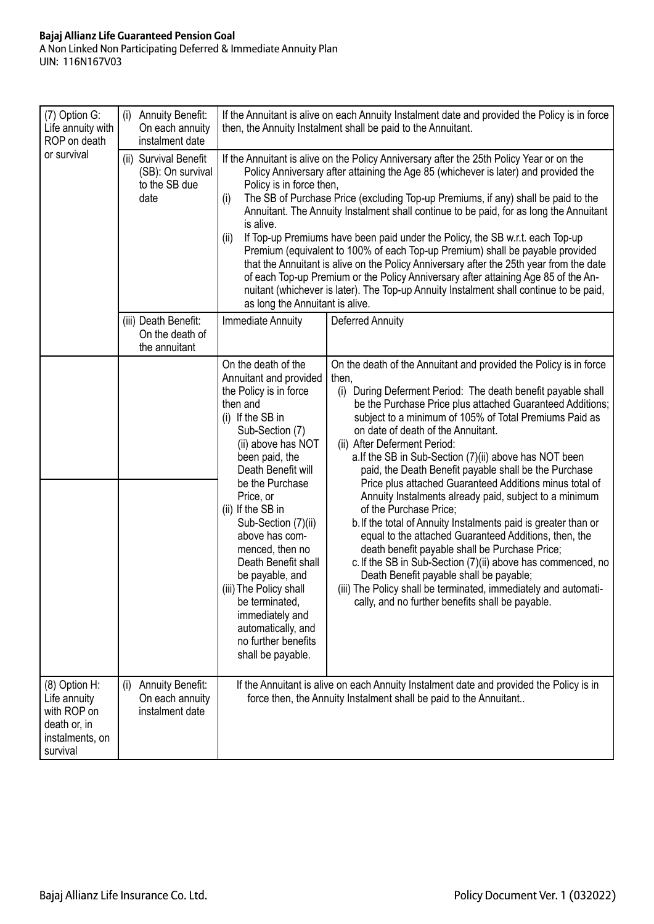## **Bajaj Allianz Life Guaranteed Pension Goal** A Non Linked Non Participating Deferred & Immediate Annuity Plan UIN: 116N167V03

| (7) Option G:<br>Life annuity with<br>ROP on death                                          | <b>Annuity Benefit:</b><br>(i)<br>On each annuity<br>instalment date |                                                                                                                                                                                                                                                                                                                                                                                                                                                                                        | If the Annuitant is alive on each Annuity Instalment date and provided the Policy is in force<br>then, the Annuity Instalment shall be paid to the Annuitant.                                                                                                                                                                                                                                                                                                                                                                                                                                                                                                                                                                                                                                                                                                                                                                                                                                                              |
|---------------------------------------------------------------------------------------------|----------------------------------------------------------------------|----------------------------------------------------------------------------------------------------------------------------------------------------------------------------------------------------------------------------------------------------------------------------------------------------------------------------------------------------------------------------------------------------------------------------------------------------------------------------------------|----------------------------------------------------------------------------------------------------------------------------------------------------------------------------------------------------------------------------------------------------------------------------------------------------------------------------------------------------------------------------------------------------------------------------------------------------------------------------------------------------------------------------------------------------------------------------------------------------------------------------------------------------------------------------------------------------------------------------------------------------------------------------------------------------------------------------------------------------------------------------------------------------------------------------------------------------------------------------------------------------------------------------|
| or survival                                                                                 | (ii) Survival Benefit<br>(SB): On survival<br>to the SB due<br>date  | Policy is in force then,<br>(i)<br>is alive.<br>(ii)<br>as long the Annuitant is alive.                                                                                                                                                                                                                                                                                                                                                                                                | If the Annuitant is alive on the Policy Anniversary after the 25th Policy Year or on the<br>Policy Anniversary after attaining the Age 85 (whichever is later) and provided the<br>The SB of Purchase Price (excluding Top-up Premiums, if any) shall be paid to the<br>Annuitant. The Annuity Instalment shall continue to be paid, for as long the Annuitant<br>If Top-up Premiums have been paid under the Policy, the SB w.r.t. each Top-up<br>Premium (equivalent to 100% of each Top-up Premium) shall be payable provided<br>that the Annuitant is alive on the Policy Anniversary after the 25th year from the date<br>of each Top-up Premium or the Policy Anniversary after attaining Age 85 of the An-<br>nuitant (whichever is later). The Top-up Annuity Instalment shall continue to be paid,                                                                                                                                                                                                                |
|                                                                                             | (iii) Death Benefit:<br>On the death of<br>the annuitant             | Immediate Annuity                                                                                                                                                                                                                                                                                                                                                                                                                                                                      | Deferred Annuity                                                                                                                                                                                                                                                                                                                                                                                                                                                                                                                                                                                                                                                                                                                                                                                                                                                                                                                                                                                                           |
|                                                                                             |                                                                      | On the death of the<br>Annuitant and provided<br>the Policy is in force<br>then and<br>$(i)$ If the SB in<br>Sub-Section (7)<br>(ii) above has NOT<br>been paid, the<br>Death Benefit will<br>be the Purchase<br>Price, or<br>(ii) If the SB in<br>Sub-Section (7)(ii)<br>above has com-<br>menced, then no<br>Death Benefit shall<br>be payable, and<br>(iii) The Policy shall<br>be terminated,<br>immediately and<br>automatically, and<br>no further benefits<br>shall be payable. | On the death of the Annuitant and provided the Policy is in force<br>then,<br>During Deferment Period: The death benefit payable shall<br>(i)<br>be the Purchase Price plus attached Guaranteed Additions;<br>subject to a minimum of 105% of Total Premiums Paid as<br>on date of death of the Annuitant.<br>(ii) After Deferment Period:<br>a. If the SB in Sub-Section (7)(ii) above has NOT been<br>paid, the Death Benefit payable shall be the Purchase<br>Price plus attached Guaranteed Additions minus total of<br>Annuity Instalments already paid, subject to a minimum<br>of the Purchase Price;<br>b. If the total of Annuity Instalments paid is greater than or<br>equal to the attached Guaranteed Additions, then, the<br>death benefit payable shall be Purchase Price;<br>c. If the SB in Sub-Section (7)(ii) above has commenced, no<br>Death Benefit payable shall be payable;<br>(iii) The Policy shall be terminated, immediately and automati-<br>cally, and no further benefits shall be payable. |
| (8) Option H:<br>Life annuity<br>with ROP on<br>death or, in<br>instalments, on<br>survival | <b>Annuity Benefit:</b><br>(i)<br>On each annuity<br>instalment date |                                                                                                                                                                                                                                                                                                                                                                                                                                                                                        | If the Annuitant is alive on each Annuity Instalment date and provided the Policy is in<br>force then, the Annuity Instalment shall be paid to the Annuitant                                                                                                                                                                                                                                                                                                                                                                                                                                                                                                                                                                                                                                                                                                                                                                                                                                                               |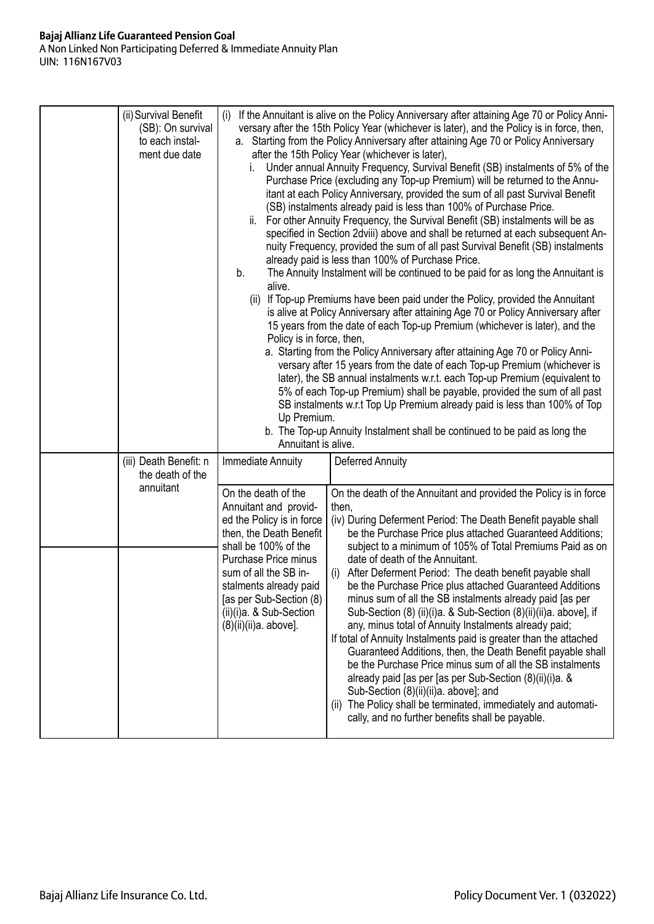## **Bajaj Allianz Life Guaranteed Pension Goal** A Non Linked Non Participating Deferred & Immediate Annuity Plan UIN: 116N167V03

| (ii) Survival Benefit<br>(i)<br>(SB): On survival<br>to each instal-<br>ment due date                                                                                                                                                                                                                                                                                                               |                                                                                                                                                                                                                                                                                                                                                                                                                                                                                                                                                                                                                                                                                                                                                                                                                                                                                                                                                                                                                                                                                                                                                                                                                                                                                                                                                                                                                                                                                                                                                                                                                                                                                                                                                                                                            |  |  |
|-----------------------------------------------------------------------------------------------------------------------------------------------------------------------------------------------------------------------------------------------------------------------------------------------------------------------------------------------------------------------------------------------------|------------------------------------------------------------------------------------------------------------------------------------------------------------------------------------------------------------------------------------------------------------------------------------------------------------------------------------------------------------------------------------------------------------------------------------------------------------------------------------------------------------------------------------------------------------------------------------------------------------------------------------------------------------------------------------------------------------------------------------------------------------------------------------------------------------------------------------------------------------------------------------------------------------------------------------------------------------------------------------------------------------------------------------------------------------------------------------------------------------------------------------------------------------------------------------------------------------------------------------------------------------------------------------------------------------------------------------------------------------------------------------------------------------------------------------------------------------------------------------------------------------------------------------------------------------------------------------------------------------------------------------------------------------------------------------------------------------------------------------------------------------------------------------------------------------|--|--|
| b.<br>alive.<br>(ii)<br>Policy is in force, then,<br>Up Premium.<br>Annuitant is alive.                                                                                                                                                                                                                                                                                                             | If the Annuitant is alive on the Policy Anniversary after attaining Age 70 or Policy Anni-<br>versary after the 15th Policy Year (whichever is later), and the Policy is in force, then,<br>a. Starting from the Policy Anniversary after attaining Age 70 or Policy Anniversary<br>after the 15th Policy Year (whichever is later),<br>Under annual Annuity Frequency, Survival Benefit (SB) instalments of 5% of the<br>Purchase Price (excluding any Top-up Premium) will be returned to the Annu-<br>itant at each Policy Anniversary, provided the sum of all past Survival Benefit<br>(SB) instalments already paid is less than 100% of Purchase Price.<br>ii. For other Annuity Frequency, the Survival Benefit (SB) instalments will be as<br>specified in Section 2dviii) above and shall be returned at each subsequent An-<br>nuity Frequency, provided the sum of all past Survival Benefit (SB) instalments<br>already paid is less than 100% of Purchase Price.<br>The Annuity Instalment will be continued to be paid for as long the Annuitant is<br>If Top-up Premiums have been paid under the Policy, provided the Annuitant<br>is alive at Policy Anniversary after attaining Age 70 or Policy Anniversary after<br>15 years from the date of each Top-up Premium (whichever is later), and the<br>a. Starting from the Policy Anniversary after attaining Age 70 or Policy Anni-<br>versary after 15 years from the date of each Top-up Premium (whichever is<br>later), the SB annual instalments w.r.t. each Top-up Premium (equivalent to<br>5% of each Top-up Premium) shall be payable, provided the sum of all past<br>SB instalments w.r.t Top Up Premium already paid is less than 100% of Top<br>b. The Top-up Annuity Instalment shall be continued to be paid as long the |  |  |
| Deferred Annuity<br>(iii) Death Benefit: n<br>Immediate Annuity<br>the death of the<br>annuitant<br>On the death of the<br>Annuitant and provid-<br>then,<br>ed the Policy is in force<br>then, the Death Benefit<br>shall be 100% of the<br>Purchase Price minus<br>sum of all the SB in-<br>stalments already paid<br>[as per Sub-Section (8)<br>(ii)(i)a. & Sub-Section<br>(8)(ii)(ii)a. above]. | On the death of the Annuitant and provided the Policy is in force<br>(iv) During Deferment Period: The Death Benefit payable shall<br>be the Purchase Price plus attached Guaranteed Additions;<br>subject to a minimum of 105% of Total Premiums Paid as on<br>date of death of the Annuitant.<br>(i) After Deferment Period: The death benefit payable shall<br>be the Purchase Price plus attached Guaranteed Additions<br>minus sum of all the SB instalments already paid [as per<br>Sub-Section (8) (ii)(i)a. & Sub-Section (8)(ii)(ii)a. above], if<br>any, minus total of Annuity Instalments already paid;<br>If total of Annuity Instalments paid is greater than the attached<br>Guaranteed Additions, then, the Death Benefit payable shall<br>be the Purchase Price minus sum of all the SB instalments<br>already paid [as per [as per Sub-Section (8)(ii)(i)a. &<br>Sub-Section (8)(ii)(ii)a. above]; and<br>(ii) The Policy shall be terminated, immediately and automati-<br>cally, and no further benefits shall be payable.                                                                                                                                                                                                                                                                                                                                                                                                                                                                                                                                                                                                                                                                                                                                                             |  |  |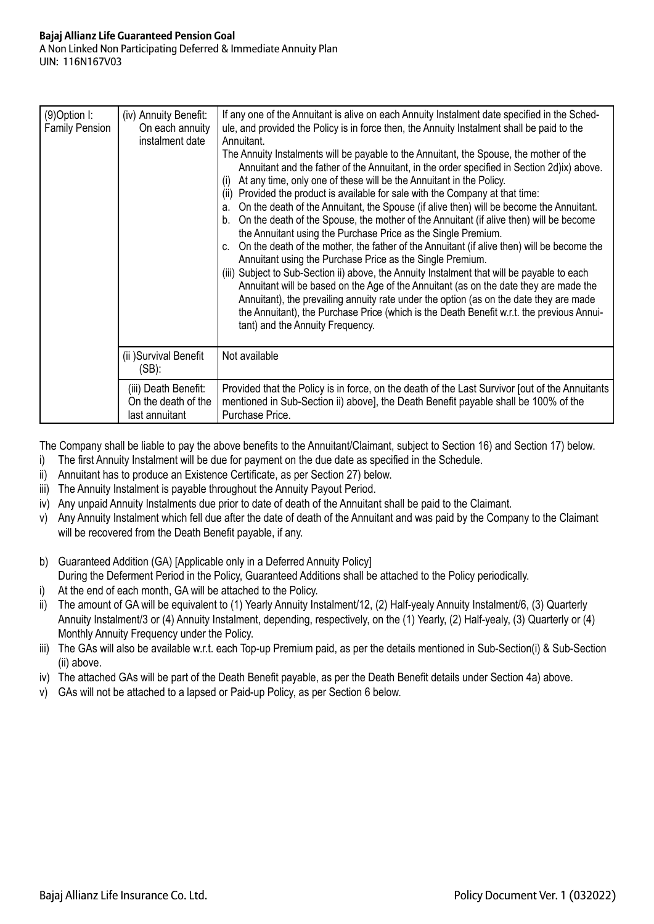| (9) Option I:<br><b>Family Pension</b> | (iv) Annuity Benefit:<br>On each annuity<br>instalment date   | If any one of the Annuitant is alive on each Annuity Instalment date specified in the Sched-<br>ule, and provided the Policy is in force then, the Annuity Instalment shall be paid to the<br>Annuitant.<br>The Annuity Instalments will be payable to the Annuitant, the Spouse, the mother of the<br>Annuitant and the father of the Annuitant, in the order specified in Section 2d) ix) above.<br>At any time, only one of these will be the Annuitant in the Policy.<br>(i)<br>Provided the product is available for sale with the Company at that time:<br>(ii)<br>On the death of the Annuitant, the Spouse (if alive then) will be become the Annuitant.<br>a.<br>On the death of the Spouse, the mother of the Annuitant (if alive then) will be become<br>b.<br>the Annuitant using the Purchase Price as the Single Premium.<br>On the death of the mother, the father of the Annuitant (if alive then) will be become the<br>C.<br>Annuitant using the Purchase Price as the Single Premium.<br>(iii) Subject to Sub-Section ii) above, the Annuity Instalment that will be payable to each<br>Annuitant will be based on the Age of the Annuitant (as on the date they are made the<br>Annuitant), the prevailing annuity rate under the option (as on the date they are made<br>the Annuitant), the Purchase Price (which is the Death Benefit w.r.t. the previous Annui-<br>tant) and the Annuity Frequency. |
|----------------------------------------|---------------------------------------------------------------|-----------------------------------------------------------------------------------------------------------------------------------------------------------------------------------------------------------------------------------------------------------------------------------------------------------------------------------------------------------------------------------------------------------------------------------------------------------------------------------------------------------------------------------------------------------------------------------------------------------------------------------------------------------------------------------------------------------------------------------------------------------------------------------------------------------------------------------------------------------------------------------------------------------------------------------------------------------------------------------------------------------------------------------------------------------------------------------------------------------------------------------------------------------------------------------------------------------------------------------------------------------------------------------------------------------------------------------------------------------------------------------------------------------------------------|
|                                        | (ii) Survival Benefit<br>(SB):                                | Not available                                                                                                                                                                                                                                                                                                                                                                                                                                                                                                                                                                                                                                                                                                                                                                                                                                                                                                                                                                                                                                                                                                                                                                                                                                                                                                                                                                                                               |
|                                        | (iii) Death Benefit:<br>On the death of the<br>last annuitant | Provided that the Policy is in force, on the death of the Last Survivor [out of the Annuitants<br>mentioned in Sub-Section ii) above], the Death Benefit payable shall be 100% of the<br>Purchase Price.                                                                                                                                                                                                                                                                                                                                                                                                                                                                                                                                                                                                                                                                                                                                                                                                                                                                                                                                                                                                                                                                                                                                                                                                                    |

The Company shall be liable to pay the above benefits to the Annuitant/Claimant, subject to Section 16) and Section 17) below.

- i) The first Annuity Instalment will be due for payment on the due date as specified in the Schedule.
- ii) Annuitant has to produce an Existence Certificate, as per Section 27) below.
- iii) The Annuity Instalment is payable throughout the Annuity Payout Period.
- iv) Any unpaid Annuity Instalments due prior to date of death of the Annuitant shall be paid to the Claimant.
- v) Any Annuity Instalment which fell due after the date of death of the Annuitant and was paid by the Company to the Claimant will be recovered from the Death Benefit payable, if any.
- b) Guaranteed Addition (GA) [Applicable only in a Deferred Annuity Policy] During the Deferment Period in the Policy, Guaranteed Additions shall be attached to the Policy periodically.
- i) At the end of each month, GA will be attached to the Policy.
- ii) The amount of GA will be equivalent to (1) Yearly Annuity Instalment/12, (2) Half-yealy Annuity Instalment/6, (3) Quarterly Annuity Instalment/3 or (4) Annuity Instalment, depending, respectively, on the (1) Yearly, (2) Half-yealy, (3) Quarterly or (4) Monthly Annuity Frequency under the Policy.
- iii) The GAs will also be available w.r.t. each Top-up Premium paid, as per the details mentioned in Sub-Section(i) & Sub-Section (ii) above.
- iv) The attached GAs will be part of the Death Benefit payable, as per the Death Benefit details under Section 4a) above.
- v) GAs will not be attached to a lapsed or Paid-up Policy, as per Section 6 below.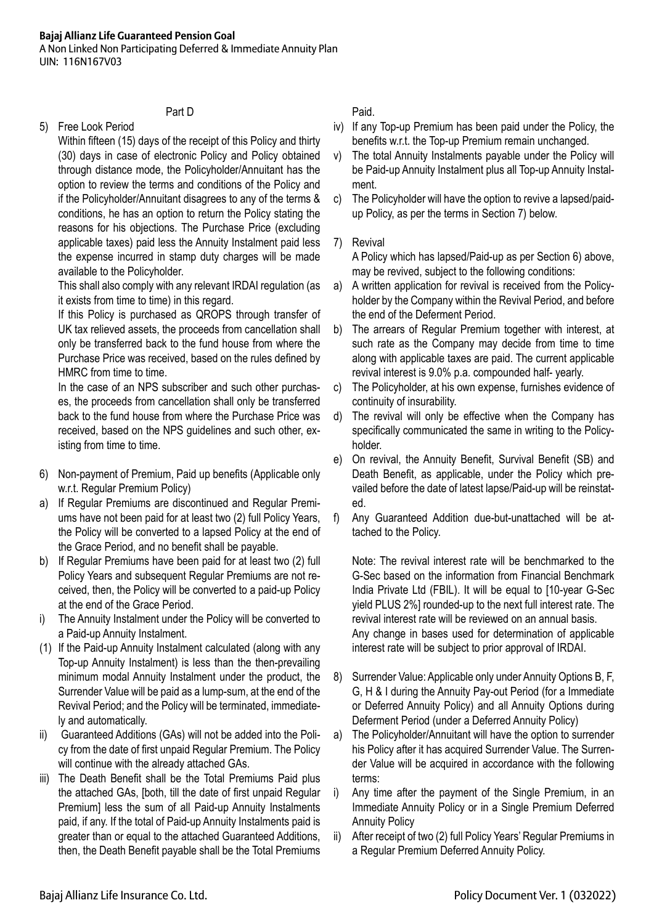A Non Linked Non Participating Deferred & Immediate Annuity Plan UIN: 116N167V03

# Part D

5) Free Look Period

 Within fifteen (15) days of the receipt of this Policy and thirty (30) days in case of electronic Policy and Policy obtained through distance mode, the Policyholder/Annuitant has the option to review the terms and conditions of the Policy and if the Policyholder/Annuitant disagrees to any of the terms & conditions, he has an option to return the Policy stating the reasons for his objections. The Purchase Price (excluding applicable taxes) paid less the Annuity Instalment paid less the expense incurred in stamp duty charges will be made available to the Policyholder.

This shall also comply with any relevant IRDAI regulation (as it exists from time to time) in this regard.

 If this Policy is purchased as QROPS through transfer of UK tax relieved assets, the proceeds from cancellation shall only be transferred back to the fund house from where the Purchase Price was received, based on the rules defined by HMRC from time to time.

In the case of an NPS subscriber and such other purchases, the proceeds from cancellation shall only be transferred back to the fund house from where the Purchase Price was received, based on the NPS guidelines and such other, existing from time to time.

- 6) Non-payment of Premium, Paid up benefits (Applicable only w.r.t. Regular Premium Policy)
- a) If Regular Premiums are discontinued and Regular Premiums have not been paid for at least two (2) full Policy Years, the Policy will be converted to a lapsed Policy at the end of the Grace Period, and no benefit shall be payable.
- b) If Regular Premiums have been paid for at least two (2) full Policy Years and subsequent Regular Premiums are not received, then, the Policy will be converted to a paid-up Policy at the end of the Grace Period.
- i) The Annuity Instalment under the Policy will be converted to a Paid-up Annuity Instalment.
- (1) If the Paid-up Annuity Instalment calculated (along with any Top-up Annuity Instalment) is less than the then-prevailing minimum modal Annuity Instalment under the product, the Surrender Value will be paid as a lump-sum, at the end of the Revival Period; and the Policy will be terminated, immediately and automatically.
- ii) Guaranteed Additions (GAs) will not be added into the Policy from the date of first unpaid Regular Premium. The Policy will continue with the already attached GAs.
- The Death Benefit shall be the Total Premiums Paid plus the attached GAs, [both, till the date of first unpaid Regular Premium] less the sum of all Paid-up Annuity Instalments paid, if any. If the total of Paid-up Annuity Instalments paid is greater than or equal to the attached Guaranteed Additions, then, the Death Benefit payable shall be the Total Premiums

**Paid.** 

- iv) If any Top-up Premium has been paid under the Policy, the benefits w.r.t. the Top-up Premium remain unchanged.
- v) The total Annuity Instalments payable under the Policy will be Paid-up Annuity Instalment plus all Top-up Annuity Instalment.
- c) The Policyholder will have the option to revive a lapsed/paidup Policy, as per the terms in Section 7) below.

# 7) Revival

A Policy which has lapsed/Paid-up as per Section 6) above, may be revived, subject to the following conditions:

- a) A written application for revival is received from the Policyholder by the Company within the Revival Period, and before the end of the Deferment Period.
- b) The arrears of Regular Premium together with interest, at such rate as the Company may decide from time to time along with applicable taxes are paid. The current applicable revival interest is 9.0% p.a. compounded half- yearly.
- c) The Policyholder, at his own expense, furnishes evidence of continuity of insurability.
- d) The revival will only be effective when the Company has specifically communicated the same in writing to the Policyholder.
- e) On revival, the Annuity Benefit, Survival Benefit (SB) and Death Benefit, as applicable, under the Policy which prevailed before the date of latest lapse/Paid-up will be reinstated.
- f) Any Guaranteed Addition due-but-unattached will be attached to the Policy.

Note: The revival interest rate will be benchmarked to the G-Sec based on the information from Financial Benchmark India Private Ltd (FBIL). It will be equal to [10-year G-Sec yield PLUS 2%] rounded-up to the next full interest rate. The revival interest rate will be reviewed on an annual basis. Any change in bases used for determination of applicable interest rate will be subject to prior approval of IRDAI.

- 8) Surrender Value: Applicable only under Annuity Options B, F, G, H & I during the Annuity Pay-out Period (for a Immediate or Deferred Annuity Policy) and all Annuity Options during Deferment Period (under a Deferred Annuity Policy)
- a) The Policyholder/Annuitant will have the option to surrender his Policy after it has acquired Surrender Value. The Surrender Value will be acquired in accordance with the following terms:
- i) Any time after the payment of the Single Premium, in an Immediate Annuity Policy or in a Single Premium Deferred Annuity Policy
- ii) After receipt of two (2) full Policy Years' Regular Premiums in a Regular Premium Deferred Annuity Policy.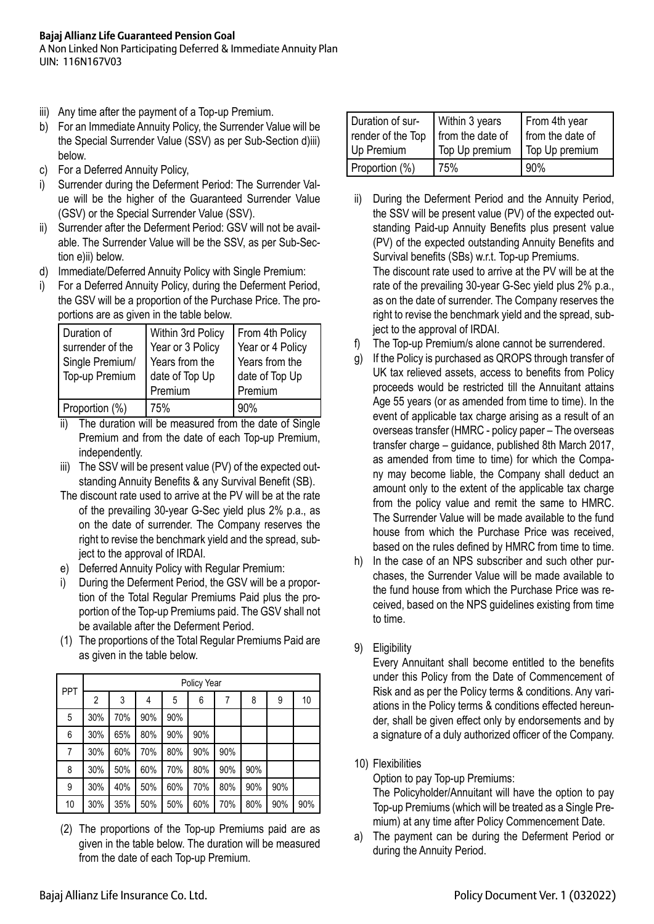A Non Linked Non Participating Deferred & Immediate Annuity Plan UIN: 116N167V03

- iii) Any time after the payment of a Top-up Premium.
- b) For an Immediate Annuity Policy, the Surrender Value will be the Special Surrender Value (SSV) as per Sub-Section d)iii) below.
- c) For a Deferred Annuity Policy,
- i) Surrender during the Deferment Period: The Surrender Value will be the higher of the Guaranteed Surrender Value (GSV) or the Special Surrender Value (SSV).
- ii) Surrender after the Deferment Period: GSV will not be available. The Surrender Value will be the SSV, as per Sub-Section e)ii) below.
- d) Immediate/Deferred Annuity Policy with Single Premium:
- i) For a Deferred Annuity Policy, during the Deferment Period, the GSV will be a proportion of the Purchase Price. The proportions are as given in the table below.

| Duration of      | Within 3rd Policy | From 4th Policy  |
|------------------|-------------------|------------------|
| surrender of the | Year or 3 Policy  | Year or 4 Policy |
| Single Premium/  | Years from the    | Years from the   |
| Top-up Premium   | date of Top Up    | date of Top Up   |
|                  | Premium           | Premium          |
| Proportion (%)   | 75%               | 90%              |

- ii) The duration will be measured from the date of Single Premium and from the date of each Top-up Premium, independently.
- iii) The SSV will be present value (PV) of the expected outstanding Annuity Benefits & any Survival Benefit (SB).
- The discount rate used to arrive at the PV will be at the rate of the prevailing 30-year G-Sec yield plus 2% p.a., as on the date of surrender. The Company reserves the right to revise the benchmark yield and the spread, subject to the approval of IRDAI.
- e) Deferred Annuity Policy with Regular Premium:
- i) During the Deferment Period, the GSV will be a proportion of the Total Regular Premiums Paid plus the proportion of the Top-up Premiums paid. The GSV shall not be available after the Deferment Period.
- (1) The proportions of the Total Regular Premiums Paid are as given in the table below.

| <b>PPT</b> | Policy Year |     |     |     |     |     |     |     |     |
|------------|-------------|-----|-----|-----|-----|-----|-----|-----|-----|
|            | 2           | 3   | 4   | 5   | 6   |     | 8   | 9   | 10  |
| 5          | 30%         | 70% | 90% | 90% |     |     |     |     |     |
| 6          | 30%         | 65% | 80% | 90% | 90% |     |     |     |     |
| 7          | 30%         | 60% | 70% | 80% | 90% | 90% |     |     |     |
| 8          | 30%         | 50% | 60% | 70% | 80% | 90% | 90% |     |     |
| 9          | 30%         | 40% | 50% | 60% | 70% | 80% | 90% | 90% |     |
| 10         | 30%         | 35% | 50% | 50% | 60% | 70% | 80% | 90% | 90% |

(2) The proportions of the Top-up Premiums paid are as given in the table below. The duration will be measured from the date of each Top-up Premium.

| Duration of sur-<br>render of the Top | Within 3 years<br>from the date of | From 4th year<br>from the date of |
|---------------------------------------|------------------------------------|-----------------------------------|
| Up Premium                            | Top Up premium                     | Top Up premium                    |
| Proportion (%)                        | 75%                                | 90%                               |

- ii) During the Deferment Period and the Annuity Period, the SSV will be present value (PV) of the expected outstanding Paid-up Annuity Benefits plus present value (PV) of the expected outstanding Annuity Benefits and Survival benefits (SBs) w.r.t. Top-up Premiums. The discount rate used to arrive at the PV will be at the rate of the prevailing 30-year G-Sec yield plus 2% p.a., as on the date of surrender. The Company reserves the right to revise the benchmark yield and the spread, subject to the approval of IRDAI.
- The Top-up Premium/s alone cannot be surrendered.
- g) If the Policy is purchased as QROPS through transfer of UK tax relieved assets, access to benefits from Policy proceeds would be restricted till the Annuitant attains Age 55 years (or as amended from time to time). In the event of applicable tax charge arising as a result of an overseas transfer (HMRC - policy paper – The overseas transfer charge – guidance, published 8th March 2017, as amended from time to time) for which the Company may become liable, the Company shall deduct an amount only to the extent of the applicable tax charge from the policy value and remit the same to HMRC. The Surrender Value will be made available to the fund house from which the Purchase Price was received, based on the rules defined by HMRC from time to time.
- h) In the case of an NPS subscriber and such other purchases, the Surrender Value will be made available to the fund house from which the Purchase Price was received, based on the NPS guidelines existing from time to time.
- 9) Eligibility

 Every Annuitant shall become entitled to the benefits under this Policy from the Date of Commencement of Risk and as per the Policy terms & conditions. Any variations in the Policy terms & conditions effected hereunder, shall be given effect only by endorsements and by a signature of a duly authorized officer of the Company.

10) Flexibilities

Option to pay Top-up Premiums: The Policyholder/Annuitant will have the option to pay Top-up Premiums (which will be treated as a Single Premium) at any time after Policy Commencement Date.

a) The payment can be during the Deferment Period or during the Annuity Period.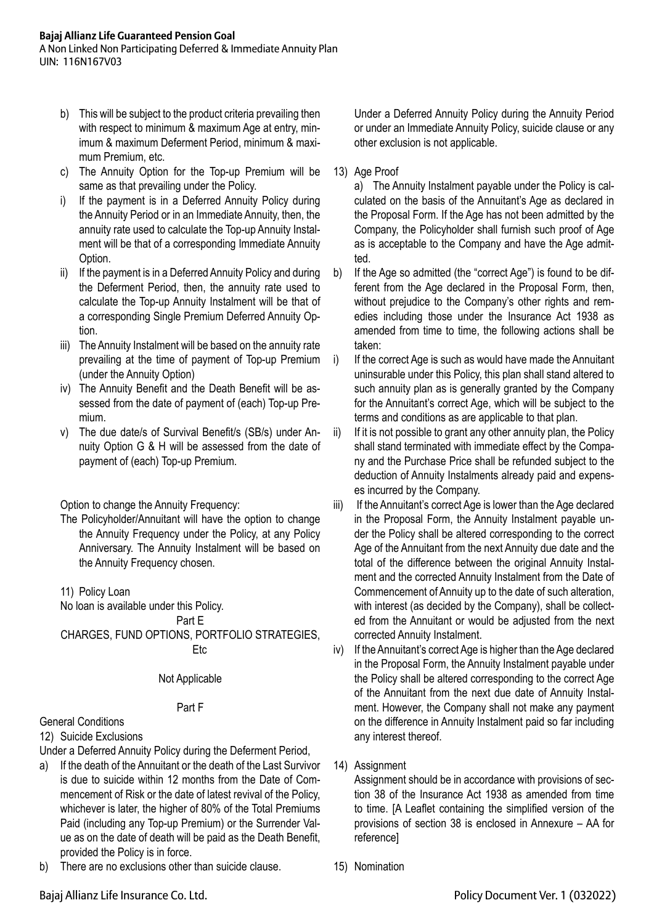A Non Linked Non Participating Deferred & Immediate Annuity Plan UIN: 116N167V03

- b) This will be subject to the product criteria prevailing then with respect to minimum & maximum Age at entry, minimum & maximum Deferment Period, minimum & maximum Premium, etc.
- c) The Annuity Option for the Top-up Premium will be same as that prevailing under the Policy.
- i) If the payment is in a Deferred Annuity Policy during the Annuity Period or in an Immediate Annuity, then, the annuity rate used to calculate the Top-up Annuity Instalment will be that of a corresponding Immediate Annuity Option.
- ii) If the payment is in a Deferred Annuity Policy and during the Deferment Period, then, the annuity rate used to calculate the Top-up Annuity Instalment will be that of a corresponding Single Premium Deferred Annuity Option.
- iii) The Annuity Instalment will be based on the annuity rate prevailing at the time of payment of Top-up Premium (under the Annuity Option)
- iv) The Annuity Benefit and the Death Benefit will be assessed from the date of payment of (each) Top-up Premium.
- v) The due date/s of Survival Benefit/s (SB/s) under Annuity Option G & H will be assessed from the date of payment of (each) Top-up Premium.

Option to change the Annuity Frequency:

- The Policyholder/Annuitant will have the option to change the Annuity Frequency under the Policy, at any Policy Anniversary. The Annuity Instalment will be based on the Annuity Frequency chosen.
- 11) Policy Loan

No loan is available under this Policy.

Part E

CHARGES, FUND OPTIONS, PORTFOLIO STRATEGIES, Etc

## Not Applicable

## Part F

# General Conditions

12) Suicide Exclusions

- Under a Deferred Annuity Policy during the Deferment Period,
- a) If the death of the Annuitant or the death of the Last Survivor is due to suicide within 12 months from the Date of Commencement of Risk or the date of latest revival of the Policy, whichever is later, the higher of 80% of the Total Premiums Paid (including any Top-up Premium) or the Surrender Value as on the date of death will be paid as the Death Benefit, provided the Policy is in force.
- b) There are no exclusions other than suicide clause.

Under a Deferred Annuity Policy during the Annuity Period or under an Immediate Annuity Policy, suicide clause or any other exclusion is not applicable.

13) Age Proof

a) The Annuity Instalment payable under the Policy is calculated on the basis of the Annuitant's Age as declared in the Proposal Form. If the Age has not been admitted by the Company, the Policyholder shall furnish such proof of Age as is acceptable to the Company and have the Age admitted.

- b) If the Age so admitted (the "correct Age") is found to be different from the Age declared in the Proposal Form, then, without prejudice to the Company's other rights and remedies including those under the Insurance Act 1938 as amended from time to time, the following actions shall be taken:
- i) If the correct Age is such as would have made the Annuitant uninsurable under this Policy, this plan shall stand altered to such annuity plan as is generally granted by the Company for the Annuitant's correct Age, which will be subject to the terms and conditions as are applicable to that plan.
- ii) If it is not possible to grant any other annuity plan, the Policy shall stand terminated with immediate effect by the Company and the Purchase Price shall be refunded subject to the deduction of Annuity Instalments already paid and expenses incurred by the Company.
- iii) If the Annuitant's correct Age is lower than the Age declared in the Proposal Form, the Annuity Instalment payable under the Policy shall be altered corresponding to the correct Age of the Annuitant from the next Annuity due date and the total of the difference between the original Annuity Instalment and the corrected Annuity Instalment from the Date of Commencement of Annuity up to the date of such alteration, with interest (as decided by the Company), shall be collected from the Annuitant or would be adjusted from the next corrected Annuity Instalment.
- iv) If the Annuitant's correct Age is higher than the Age declared in the Proposal Form, the Annuity Instalment payable under the Policy shall be altered corresponding to the correct Age of the Annuitant from the next due date of Annuity Instalment. However, the Company shall not make any payment on the difference in Annuity Instalment paid so far including any interest thereof.
- 14) Assignment

Assignment should be in accordance with provisions of section 38 of the Insurance Act 1938 as amended from time to time. [A Leaflet containing the simplified version of the provisions of section 38 is enclosed in Annexure – AA for reference]

15) Nomination

Bajaj Allianz Life Insurance Co. Ltd. Policy Document Ver. 1 (032022)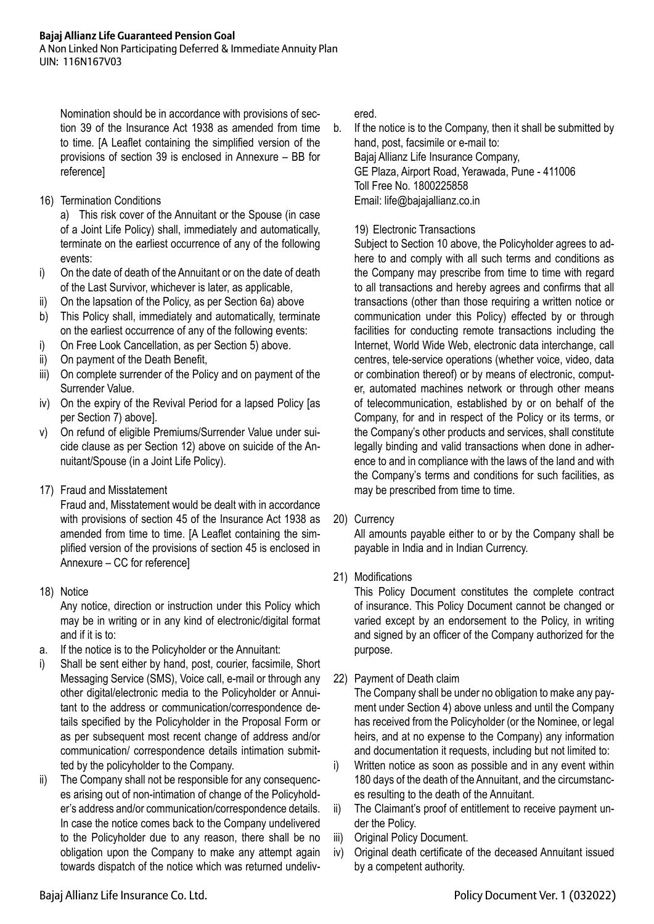A Non Linked Non Participating Deferred & Immediate Annuity Plan UIN: 116N167V03

Nomination should be in accordance with provisions of section 39 of the Insurance Act 1938 as amended from time to time. [A Leaflet containing the simplified version of the provisions of section 39 is enclosed in Annexure – BB for reference]

16) Termination Conditions

a) This risk cover of the Annuitant or the Spouse (in case of a Joint Life Policy) shall, immediately and automatically, terminate on the earliest occurrence of any of the following events:

- i) On the date of death of the Annuitant or on the date of death of the Last Survivor, whichever is later, as applicable,
- ii) On the lapsation of the Policy, as per Section 6a) above
- b) This Policy shall, immediately and automatically, terminate on the earliest occurrence of any of the following events:
- i) On Free Look Cancellation, as per Section 5) above.
- ii) On payment of the Death Benefit,
- iii) On complete surrender of the Policy and on payment of the Surrender Value.
- iv) On the expiry of the Revival Period for a lapsed Policy [as per Section 7) above].
- v) On refund of eligible Premiums/Surrender Value under suicide clause as per Section 12) above on suicide of the Annuitant/Spouse (in a Joint Life Policy).
- 17) Fraud and Misstatement

Fraud and, Misstatement would be dealt with in accordance with provisions of section 45 of the Insurance Act 1938 as amended from time to time. [A Leaflet containing the simplified version of the provisions of section 45 is enclosed in Annexure – CC for reference]

18) Notice

Any notice, direction or instruction under this Policy which may be in writing or in any kind of electronic/digital format and if it is to:

- a. If the notice is to the Policyholder or the Annuitant:
- i) Shall be sent either by hand, post, courier, facsimile, Short Messaging Service (SMS), Voice call, e-mail or through any other digital/electronic media to the Policyholder or Annuitant to the address or communication/correspondence details specified by the Policyholder in the Proposal Form or as per subsequent most recent change of address and/or communication/ correspondence details intimation submitted by the policyholder to the Company.
- ii) The Company shall not be responsible for any consequences arising out of non-intimation of change of the Policyholder's address and/or communication/correspondence details. In case the notice comes back to the Company undelivered to the Policyholder due to any reason, there shall be no obligation upon the Company to make any attempt again towards dispatch of the notice which was returned undeliv-

ered.

b. If the notice is to the Company, then it shall be submitted by hand, post, facsimile or e-mail to: Bajaj Allianz Life Insurance Company, GE Plaza, Airport Road, Yerawada, Pune - 411006 Toll Free No. 1800225858

Email: life@bajajallianz.co.in

# 19) Electronic Transactions

 Subject to Section 10 above, the Policyholder agrees to adhere to and comply with all such terms and conditions as the Company may prescribe from time to time with regard to all transactions and hereby agrees and confirms that all transactions (other than those requiring a written notice or communication under this Policy) effected by or through facilities for conducting remote transactions including the Internet, World Wide Web, electronic data interchange, call centres, tele-service operations (whether voice, video, data or combination thereof) or by means of electronic, computer, automated machines network or through other means of telecommunication, established by or on behalf of the Company, for and in respect of the Policy or its terms, or the Company's other products and services, shall constitute legally binding and valid transactions when done in adherence to and in compliance with the laws of the land and with the Company's terms and conditions for such facilities, as may be prescribed from time to time.

# 20) Currency

All amounts payable either to or by the Company shall be payable in India and in Indian Currency.

21) Modifications

This Policy Document constitutes the complete contract of insurance. This Policy Document cannot be changed or varied except by an endorsement to the Policy, in writing and signed by an officer of the Company authorized for the purpose.

22) Payment of Death claim

The Company shall be under no obligation to make any payment under Section 4) above unless and until the Company has received from the Policyholder (or the Nominee, or legal heirs, and at no expense to the Company) any information and documentation it requests, including but not limited to:

- i) Written notice as soon as possible and in any event within 180 days of the death of the Annuitant, and the circumstances resulting to the death of the Annuitant.
- ii) The Claimant's proof of entitlement to receive payment under the Policy.
- iii) Original Policy Document.
- iv) Original death certificate of the deceased Annuitant issued by a competent authority.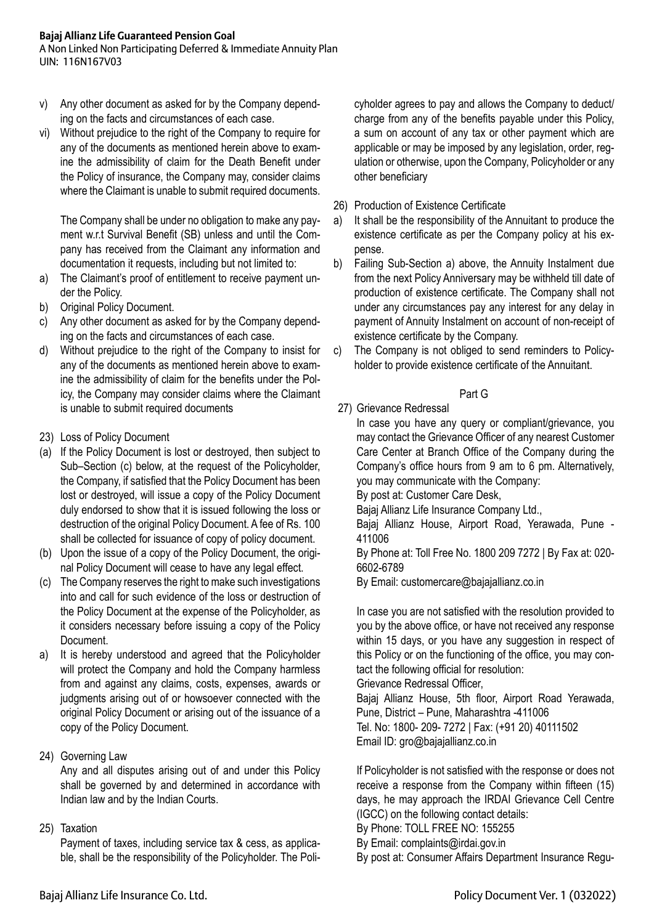A Non Linked Non Participating Deferred & Immediate Annuity Plan UIN: 116N167V03

- v) Any other document as asked for by the Company depending on the facts and circumstances of each case.
- vi) Without prejudice to the right of the Company to require for any of the documents as mentioned herein above to examine the admissibility of claim for the Death Benefit under the Policy of insurance, the Company may, consider claims where the Claimant is unable to submit required documents.

The Company shall be under no obligation to make any payment w.r.t Survival Benefit (SB) unless and until the Company has received from the Claimant any information and documentation it requests, including but not limited to:

- a) The Claimant's proof of entitlement to receive payment under the Policy.
- b) Original Policy Document.
- c) Any other document as asked for by the Company depending on the facts and circumstances of each case.
- d) Without prejudice to the right of the Company to insist for any of the documents as mentioned herein above to examine the admissibility of claim for the benefits under the Policy, the Company may consider claims where the Claimant is unable to submit required documents
- 23) Loss of Policy Document
- (a) If the Policy Document is lost or destroyed, then subject to Sub–Section (c) below, at the request of the Policyholder, the Company, if satisfied that the Policy Document has been lost or destroyed, will issue a copy of the Policy Document duly endorsed to show that it is issued following the loss or destruction of the original Policy Document. A fee of Rs. 100 shall be collected for issuance of copy of policy document.
- (b) Upon the issue of a copy of the Policy Document, the original Policy Document will cease to have any legal effect.
- (c) The Company reserves the right to make such investigations into and call for such evidence of the loss or destruction of the Policy Document at the expense of the Policyholder, as it considers necessary before issuing a copy of the Policy Document.
- a) It is hereby understood and agreed that the Policyholder will protect the Company and hold the Company harmless from and against any claims, costs, expenses, awards or judgments arising out of or howsoever connected with the original Policy Document or arising out of the issuance of a copy of the Policy Document.
- 24) Governing Law

Any and all disputes arising out of and under this Policy shall be governed by and determined in accordance with Indian law and by the Indian Courts.

## 25) Taxation

Payment of taxes, including service tax & cess, as applicable, shall be the responsibility of the Policyholder. The Poli-

cyholder agrees to pay and allows the Company to deduct/ charge from any of the benefits payable under this Policy, a sum on account of any tax or other payment which are applicable or may be imposed by any legislation, order, regulation or otherwise, upon the Company, Policyholder or any other beneficiary

- 26) Production of Existence Certificate
- a) It shall be the responsibility of the Annuitant to produce the existence certificate as per the Company policy at his expense.
- b) Failing Sub-Section a) above, the Annuity Instalment due from the next Policy Anniversary may be withheld till date of production of existence certificate. The Company shall not under any circumstances pay any interest for any delay in payment of Annuity Instalment on account of non-receipt of existence certificate by the Company.
- c) The Company is not obliged to send reminders to Policyholder to provide existence certificate of the Annuitant.

## Part G

# 27) Grievance Redressal

In case you have any query or compliant/grievance, you may contact the Grievance Officer of any nearest Customer Care Center at Branch Office of the Company during the Company's office hours from 9 am to 6 pm. Alternatively, you may communicate with the Company:

By post at: Customer Care Desk,

Bajaj Allianz Life Insurance Company Ltd.,

 Bajaj Allianz House, Airport Road, Yerawada, Pune - 411006

 By Phone at: Toll Free No. 1800 209 7272 | By Fax at: 020- 6602-6789

By Email: customercare@bajajallianz.co.in

 In case you are not satisfied with the resolution provided to you by the above office, or have not received any response within 15 days, or you have any suggestion in respect of this Policy or on the functioning of the office, you may contact the following official for resolution:

 Grievance Redressal Officer,

 Bajaj Allianz House, 5th floor, Airport Road Yerawada, Pune, District – Pune, Maharashtra -411006 Tel. No: 1800- 209- 7272 | Fax: (+91 20) 40111502 Email ID: gro@bajajallianz.co.in

 If Policyholder is not satisfied with the response or does not receive a response from the Company within fifteen (15) days, he may approach the IRDAI Grievance Cell Centre (IGCC) on the following contact details:

 By Phone: TOLL FREE NO: 155255

By Email: complaints@irdai.gov.in

By post at: Consumer Affairs Department Insurance Regu-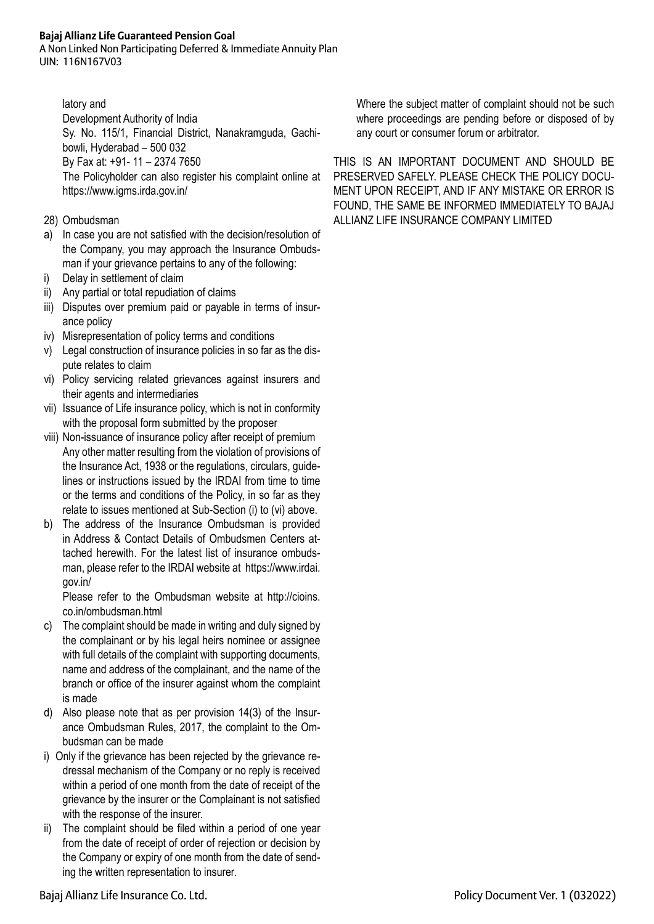A Non Linked Non Participating Deferred & Immediate Annuity Plan UIN: 116N167V03

latory and

Development Authority of India

 Sy. No. 115/1, Financial District, Nanakramguda, Gachibowli, Hyderabad – 500 032

 By Fax at: +91- 11 – 2374 7650

The Policyholder can also register his complaint online at https://www.igms.irda.gov.in/

- 28) Ombudsman
- a) In case you are not satisfied with the decision/resolution of the Company, you may approach the Insurance Ombudsman if your grievance pertains to any of the following:
- i) Delay in settlement of claim
- ii) Any partial or total repudiation of claims
- iii) Disputes over premium paid or payable in terms of insurance policy
- iv) Misrepresentation of policy terms and conditions
- v) Legal construction of insurance policies in so far as the dispute relates to claim
- vi) Policy servicing related grievances against insurers and their agents and intermediaries
- vii) Issuance of Life insurance policy, which is not in conformity with the proposal form submitted by the proposer
- viii) Non-issuance of insurance policy after receipt of premium Any other matter resulting from the violation of provisions of the Insurance Act, 1938 or the regulations, circulars, guidelines or instructions issued by the IRDAI from time to time or the terms and conditions of the Policy, in so far as they relate to issues mentioned at Sub-Section (i) to (vi) above.
- b) The address of the Insurance Ombudsman is provided in Address & Contact Details of Ombudsmen Centers attached herewith. For the latest list of insurance ombudsman, please refer to the IRDAI website at https://www.irdai. gov.in/

Please refer to the Ombudsman website at http://cioins. co.in/ombudsman.html

- c) The complaint should be made in writing and duly signed by the complainant or by his legal heirs nominee or assignee with full details of the complaint with supporting documents, name and address of the complainant, and the name of the branch or office of the insurer against whom the complaint is made
- d) Also please note that as per provision 14(3) of the Insurance Ombudsman Rules, 2017, the complaint to the Ombudsman can be made
- i) Only if the grievance has been rejected by the grievance redressal mechanism of the Company or no reply is received within a period of one month from the date of receipt of the grievance by the insurer or the Complainant is not satisfied with the response of the insurer.
- The complaint should be filed within a period of one year from the date of receipt of order of rejection or decision by the Company or expiry of one month from the date of sending the written representation to insurer.

Where the subject matter of complaint should not be such where proceedings are pending before or disposed of by any court or consumer forum or arbitrator.

THIS IS AN IMPORTANT DOCUMENT AND SHOULD BE PRESERVED SAFELY. PLEASE CHECK THE POLICY DOCU-MENT UPON RECEIPT, AND IF ANY MISTAKE OR ERROR IS FOUND, THE SAME BE INFORMED IMMEDIATELY TO BAJAJ ALLIANZ LIFE INSURANCE COMPANY LIMITED

Bajaj Allianz Life Insurance Co. Ltd. Policy Document Ver. 1 (032022)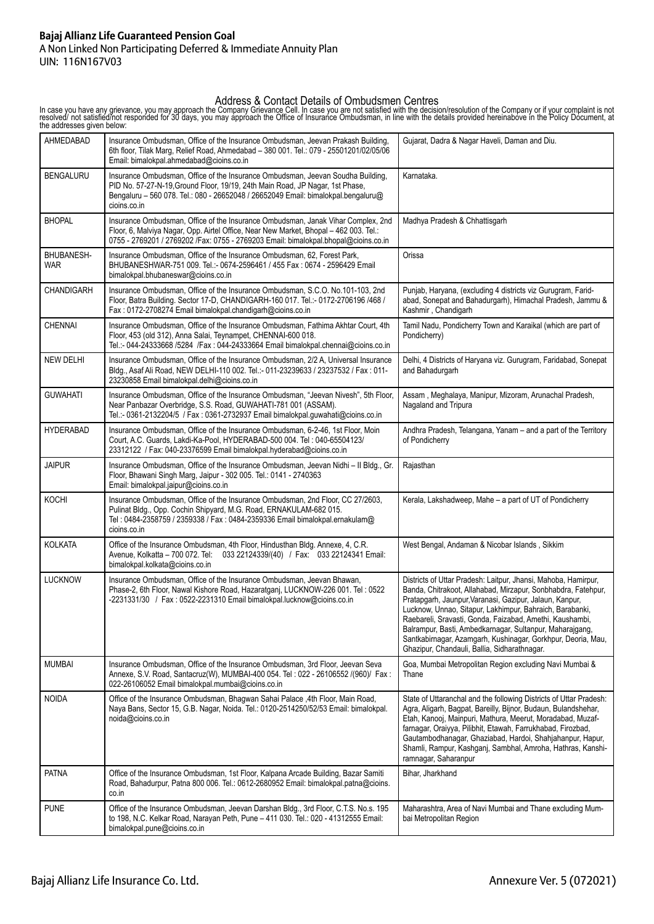#### **Bajaj Allianz Life Guaranteed Pension Goal** A Non Linked Non Participating Deferred & Immediate Annuity Plan UIN: 116N167V03

In case you have any grievance, you may approach the Company Grievance Cell. In case you are not satisfied with the decision/resolution of the Company or if your complaint is not<br>resolved/ not satisfied/not responded for 3

| AHMEDABAD                | Insurance Ombudsman, Office of the Insurance Ombudsman, Jeevan Prakash Building,<br>6th floor, Tilak Marg, Relief Road, Ahmedabad - 380 001. Tel.: 079 - 25501201/02/05/06<br>Email: bimalokpal.ahmedabad@cioins.co.in                                                | Gujarat, Dadra & Nagar Haveli, Daman and Diu.                                                                                                                                                                                                                                                                                                                                                                                                                                                  |
|--------------------------|-----------------------------------------------------------------------------------------------------------------------------------------------------------------------------------------------------------------------------------------------------------------------|------------------------------------------------------------------------------------------------------------------------------------------------------------------------------------------------------------------------------------------------------------------------------------------------------------------------------------------------------------------------------------------------------------------------------------------------------------------------------------------------|
| <b>BENGALURU</b>         | Insurance Ombudsman, Office of the Insurance Ombudsman, Jeevan Soudha Building,<br>PID No. 57-27-N-19, Ground Floor, 19/19, 24th Main Road, JP Nagar, 1st Phase,<br>Bengaluru - 560 078. Tel.: 080 - 26652048 / 26652049 Email: bimalokpal.bengaluru@<br>cioins.co.in | Karnataka.                                                                                                                                                                                                                                                                                                                                                                                                                                                                                     |
| <b>BHOPAL</b>            | Insurance Ombudsman, Office of the Insurance Ombudsman, Janak Vihar Complex, 2nd<br>Floor, 6, Malviya Nagar, Opp. Airtel Office, Near New Market, Bhopal - 462 003. Tel.:<br>0755 - 2769201 / 2769202 / Fax: 0755 - 2769203 Email: bimalokpal.bhopal@cioins.co.in     | Madhya Pradesh & Chhattisgarh                                                                                                                                                                                                                                                                                                                                                                                                                                                                  |
| BHUBANESH-<br><b>WAR</b> | Insurance Ombudsman, Office of the Insurance Ombudsman, 62, Forest Park,<br>BHUBANESHWAR-751 009. Tel.:- 0674-2596461 / 455 Fax: 0674 - 2596429 Email<br>bimalokpal.bhubaneswar@cioins.co.in                                                                          | Orissa                                                                                                                                                                                                                                                                                                                                                                                                                                                                                         |
| CHANDIGARH               | Insurance Ombudsman, Office of the Insurance Ombudsman, S.C.O. No.101-103, 2nd<br>Floor, Batra Building. Sector 17-D, CHANDIGARH-160 017. Tel.:- 0172-2706196 /468 /<br>Fax: 0172-2708274 Email bimalokpal.chandigarh@cioins.co.in                                    | Punjab, Haryana, (excluding 4 districts viz Gurugram, Farid-<br>abad, Sonepat and Bahadurgarh), Himachal Pradesh, Jammu &<br>Kashmir, Chandigarh                                                                                                                                                                                                                                                                                                                                               |
| <b>CHENNAI</b>           | Insurance Ombudsman, Office of the Insurance Ombudsman, Fathima Akhtar Court, 4th<br>Floor, 453 (old 312), Anna Salai, Teynampet, CHENNAI-600 018.<br>Tel.:- 044-24333668 /5284 /Fax: 044-24333664 Email bimalokpal.chennai@cioins.co.in                              | Tamil Nadu, Pondicherry Town and Karaikal (which are part of<br>Pondicherry)                                                                                                                                                                                                                                                                                                                                                                                                                   |
| <b>NEW DELHI</b>         | Insurance Ombudsman, Office of the Insurance Ombudsman, 2/2 A, Universal Insurance<br>Bldg., Asaf Ali Road, NEW DELHI-110 002. Tel.:- 011-23239633 / 23237532 / Fax: 011-<br>23230858 Email bimalokpal.delhi@cioins.co.in                                             | Delhi, 4 Districts of Haryana viz. Gurugram, Faridabad, Sonepat<br>and Bahadurgarh                                                                                                                                                                                                                                                                                                                                                                                                             |
| <b>GUWAHATI</b>          | Insurance Ombudsman, Office of the Insurance Ombudsman, "Jeevan Nivesh", 5th Floor,<br>Near Panbazar Overbridge, S.S. Road, GUWAHATI-781 001 (ASSAM).<br>Tel.:- 0361-2132204/5 / Fax: 0361-2732937 Email bimalokpal.guwahati@cioins.co.in                             | Assam, Meghalaya, Manipur, Mizoram, Arunachal Pradesh,<br>Nagaland and Tripura                                                                                                                                                                                                                                                                                                                                                                                                                 |
| <b>HYDERABAD</b>         | Insurance Ombudsman, Office of the Insurance Ombudsman, 6-2-46, 1st Floor, Moin<br>Court, A.C. Guards, Lakdi-Ka-Pool, HYDERABAD-500 004. Tel: 040-65504123/<br>23312122 / Fax: 040-23376599 Email bimalokpal.hyderabad@cioins.co.in                                   | Andhra Pradesh, Telangana, Yanam - and a part of the Territory<br>of Pondicherry                                                                                                                                                                                                                                                                                                                                                                                                               |
| <b>JAIPUR</b>            | Insurance Ombudsman, Office of the Insurance Ombudsman, Jeevan Nidhi - Il Bldg., Gr.<br>Floor, Bhawani Singh Marg, Jaipur - 302 005. Tel.: 0141 - 2740363<br>Email: bimalokpal.jaipur@cioins.co.in                                                                    | Rajasthan                                                                                                                                                                                                                                                                                                                                                                                                                                                                                      |
| KOCHI                    | Insurance Ombudsman, Office of the Insurance Ombudsman, 2nd Floor, CC 27/2603,<br>Pulinat Bldg., Opp. Cochin Shipyard, M.G. Road, ERNAKULAM-682 015.<br>Tel: 0484-2358759 / 2359338 / Fax: 0484-2359336 Email bimalokpal.ernakulam@<br>cioins.co.in                   | Kerala, Lakshadweep, Mahe - a part of UT of Pondicherry                                                                                                                                                                                                                                                                                                                                                                                                                                        |
| <b>KOLKATA</b>           | Office of the Insurance Ombudsman, 4th Floor, Hindusthan Bldg. Annexe, 4, C.R.<br>Avenue, Kolkatta - 700 072. Tel: 033 22124339/(40) / Fax: 033 22124341 Email:<br>bimalokpal.kolkata@cioins.co.in                                                                    | West Bengal, Andaman & Nicobar Islands, Sikkim                                                                                                                                                                                                                                                                                                                                                                                                                                                 |
| <b>LUCKNOW</b>           | Insurance Ombudsman, Office of the Insurance Ombudsman, Jeevan Bhawan,<br>Phase-2, 6th Floor, Nawal Kishore Road, Hazaratganj, LUCKNOW-226 001. Tel: 0522<br>-2231331/30 / Fax: 0522-2231310 Email bimalokpal.lucknow@cioins.co.in                                    | Districts of Uttar Pradesh: Laitpur, Jhansi, Mahoba, Hamirpur,<br>Banda, Chitrakoot, Allahabad, Mirzapur, Sonbhabdra, Fatehpur,<br>Pratapgarh, Jaunpur, Varanasi, Gazipur, Jalaun, Kanpur,<br>Lucknow, Unnao, Sitapur, Lakhimpur, Bahraich, Barabanki,<br>Raebareli, Sravasti, Gonda, Faizabad, Amethi, Kaushambi,<br>Balrampur, Basti, Ambedkarnagar, Sultanpur, Maharajgang,<br>Santkabirnagar, Azamgarh, Kushinagar, Gorkhpur, Deoria, Mau,<br>Ghazipur, Chandauli, Ballia, Sidharathnagar. |
| <b>MUMBAI</b>            | Insurance Ombudsman, Office of the Insurance Ombudsman, 3rd Floor, Jeevan Seva<br>Annexe, S.V. Road, Santacruz(W), MUMBAI-400 054. Tel: 022 - 26106552 /(960)/ Fax:<br>022-26106052 Email bimalokpal.mumbai@cioins.co.in                                              | Goa, Mumbai Metropolitan Region excluding Navi Mumbai &<br>Thane                                                                                                                                                                                                                                                                                                                                                                                                                               |
| <b>NOIDA</b>             | Office of the Insurance Ombudsman, Bhagwan Sahai Palace ,4th Floor, Main Road,<br>Naya Bans, Sector 15, G.B. Nagar, Noida. Tel.: 0120-2514250/52/53 Email: bimalokpal.<br>noida@cioins.co.in                                                                          | State of Uttaranchal and the following Districts of Uttar Pradesh:<br>Agra, Aligarh, Bagpat, Bareilly, Bijnor, Budaun, Bulandshehar,<br>Etah, Kanooj, Mainpuri, Mathura, Meerut, Moradabad, Muzaf-<br>farnagar, Oraiyya, Pilibhit, Etawah, Farrukhabad, Firozbad,<br>Gautambodhanagar, Ghaziabad, Hardoi, Shahjahanpur, Hapur,<br>Shamli, Rampur, Kashqanj, Sambhal, Amroha, Hathras, Kanshi-<br>ramnagar, Saharanpur                                                                          |
| <b>PATNA</b>             | Office of the Insurance Ombudsman, 1st Floor, Kalpana Arcade Building, Bazar Samiti<br>Road, Bahadurpur, Patna 800 006. Tel.: 0612-2680952 Email: bimalokpal.patna@cioins.<br>co.in                                                                                   | Bihar, Jharkhand                                                                                                                                                                                                                                                                                                                                                                                                                                                                               |
| <b>PUNE</b>              | Office of the Insurance Ombudsman, Jeevan Darshan Bldg., 3rd Floor, C.T.S. No.s. 195<br>to 198, N.C. Kelkar Road, Narayan Peth, Pune - 411 030. Tel.: 020 - 41312555 Email:<br>bimalokpal.pune@cioins.co.in                                                           | Maharashtra, Area of Navi Mumbai and Thane excluding Mum-<br>bai Metropolitan Region                                                                                                                                                                                                                                                                                                                                                                                                           |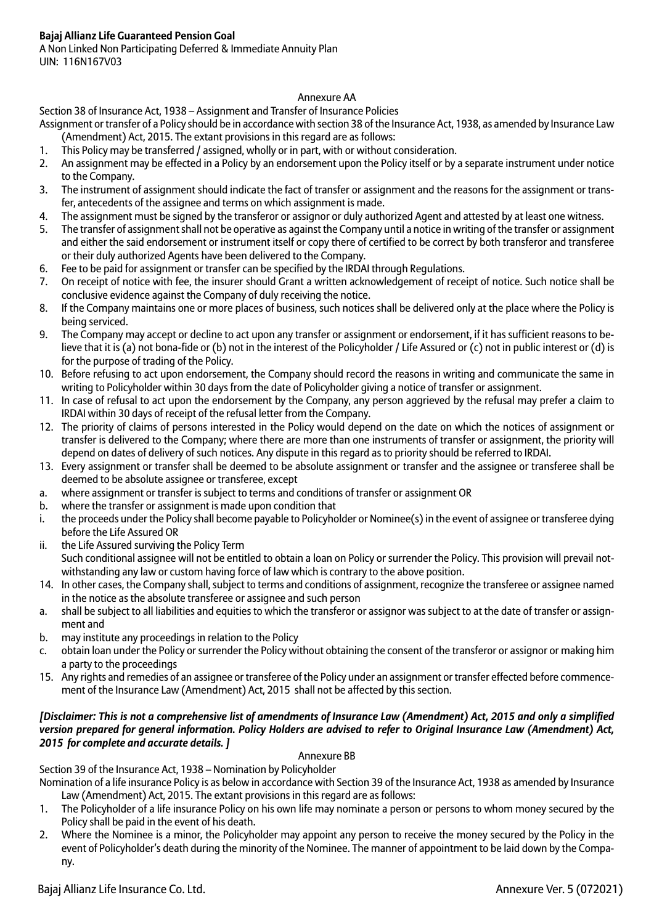A Non Linked Non Participating Deferred & Immediate Annuity Plan UIN: 116N167V03

## Annexure AA

## Section 38 of Insurance Act, 1938 – Assignment and Transfer of Insurance Policies

Assignment or transfer of a Policy should be in accordance with section 38 of the Insurance Act, 1938, as amended by Insurance Law (Amendment) Act, 2015. The extant provisions in this regard are as follows:

- 1. This Policy may be transferred / assigned, wholly or in part, with or without consideration.
- 2. An assignment may be effected in a Policy by an endorsement upon the Policy itself or by a separate instrument under notice to the Company.
- 3. The instrument of assignment should indicate the fact of transfer or assignment and the reasons for the assignment or transfer, antecedents of the assignee and terms on which assignment is made.
- 4. The assignment must be signed by the transferor or assignor or duly authorized Agent and attested by at least one witness.
- 5. The transfer of assignment shall not be operative as against the Company until a notice in writing of the transfer or assignment and either the said endorsement or instrument itself or copy there of certified to be correct by both transferor and transferee or their duly authorized Agents have been delivered to the Company.
- 6. Fee to be paid for assignment or transfer can be specified by the IRDAI through Regulations.
- 7. On receipt of notice with fee, the insurer should Grant a written acknowledgement of receipt of notice. Such notice shall be conclusive evidence against the Company of duly receiving the notice.
- 8. If the Company maintains one or more places of business, such notices shall be delivered only at the place where the Policy is being serviced.
- 9. The Company may accept or decline to act upon any transfer or assignment or endorsement, if it has sufficient reasons to believe that it is (a) not bona-fide or (b) not in the interest of the Policyholder / Life Assured or (c) not in public interest or (d) is for the purpose of trading of the Policy.
- 10. Before refusing to act upon endorsement, the Company should record the reasons in writing and communicate the same in writing to Policyholder within 30 days from the date of Policyholder giving a notice of transfer or assignment.
- 11. In case of refusal to act upon the endorsement by the Company, any person aggrieved by the refusal may prefer a claim to IRDAI within 30 days of receipt of the refusal letter from the Company.
- 12. The priority of claims of persons interested in the Policy would depend on the date on which the notices of assignment or transfer is delivered to the Company; where there are more than one instruments of transfer or assignment, the priority will depend on dates of delivery of such notices. Any dispute in this regard as to priority should be referred to IRDAI.
- 13. Every assignment or transfer shall be deemed to be absolute assignment or transfer and the assignee or transferee shall be deemed to be absolute assignee or transferee, except
- a. where assignment or transfer is subject to terms and conditions of transfer or assignment OR
- b. where the transfer or assignment is made upon condition that
- i. the proceeds under the Policy shall become payable to Policyholder or Nominee(s) in the event of assignee or transferee dying before the Life Assured OR
- ii. the Life Assured surviving the Policy Term Such conditional assignee will not be entitled to obtain a loan on Policy or surrender the Policy. This provision will prevail notwithstanding any law or custom having force of law which is contrary to the above position.
- 14. In other cases, the Company shall, subject to terms and conditions of assignment, recognize the transferee or assignee named in the notice as the absolute transferee or assignee and such person
- a. shall be subject to all liabilities and equities to which the transferor or assignor was subject to at the date of transfer or assignment and
- b. may institute any proceedings in relation to the Policy
- c. obtain loan under the Policy or surrender the Policy without obtaining the consent of the transferor or assignor or making him a party to the proceedings
- 15. Any rights and remedies of an assignee or transferee of the Policy under an assignment or transfer effected before commencement of the Insurance Law (Amendment) Act, 2015 shall not be affected by this section.

## *[Disclaimer: This is not a comprehensive list of amendments of Insurance Law (Amendment) Act, 2015 and only a simplified version prepared for general information. Policy Holders are advised to refer to Original Insurance Law (Amendment) Act, 2015 for complete and accurate details. ]*

## Annexure BB

Section 39 of the Insurance Act, 1938 – Nomination by Policyholder

Nomination of a life insurance Policy is as below in accordance with Section 39 of the Insurance Act, 1938 as amended by Insurance Law (Amendment) Act, 2015. The extant provisions in this regard are as follows:

- 1. The Policyholder of a life insurance Policy on his own life may nominate a person or persons to whom money secured by the Policy shall be paid in the event of his death.
- 2. Where the Nominee is a minor, the Policyholder may appoint any person to receive the money secured by the Policy in the event of Policyholder's death during the minority of the Nominee. The manner of appointment to be laid down by the Company.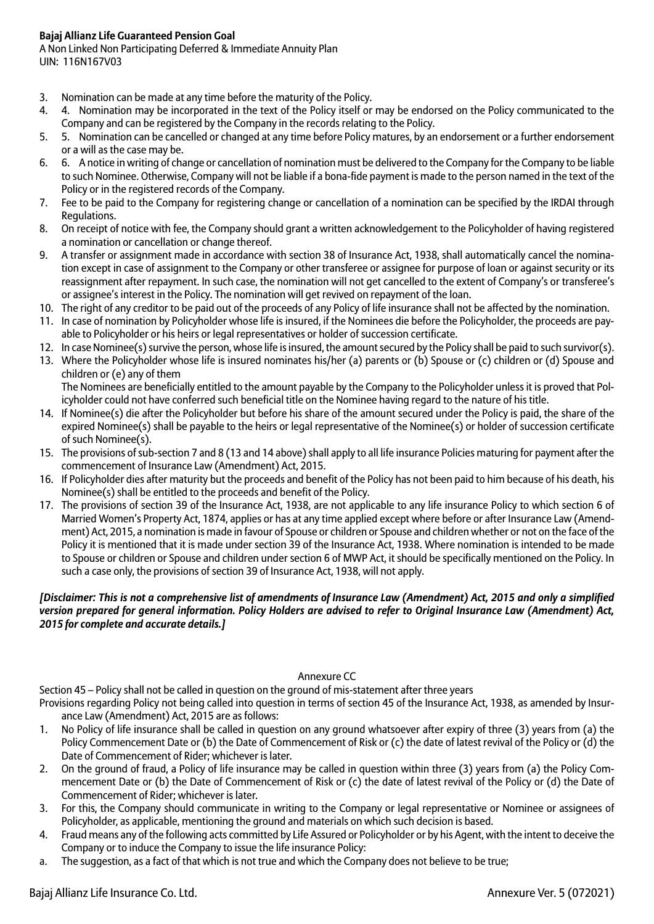A Non Linked Non Participating Deferred & Immediate Annuity Plan UIN: 116N167V03

- 3. Nomination can be made at any time before the maturity of the Policy.
- 4. 4. Nomination may be incorporated in the text of the Policy itself or may be endorsed on the Policy communicated to the Company and can be registered by the Company in the records relating to the Policy.
- 5. 5. Nomination can be cancelled or changed at any time before Policy matures, by an endorsement or a further endorsement or a will as the case may be.
- 6. 6. A notice in writing of change or cancellation of nomination must be delivered to the Company for the Company to be liable to such Nominee. Otherwise, Company will not be liable if a bona-fide payment is made to the person named in the text of the Policy or in the registered records of the Company.
- 7. Fee to be paid to the Company for registering change or cancellation of a nomination can be specified by the IRDAI through Regulations.
- 8. On receipt of notice with fee, the Company should grant a written acknowledgement to the Policyholder of having registered a nomination or cancellation or change thereof.
- 9. A transfer or assignment made in accordance with section 38 of Insurance Act, 1938, shall automatically cancel the nomination except in case of assignment to the Company or other transferee or assignee for purpose of loan or against security or its reassignment after repayment. In such case, the nomination will not get cancelled to the extent of Company's or transferee's or assignee's interest in the Policy. The nomination will get revived on repayment of the loan.
- 10. The right of any creditor to be paid out of the proceeds of any Policy of life insurance shall not be affected by the nomination.
- 11. In case of nomination by Policyholder whose life is insured, if the Nominees die before the Policyholder, the proceeds are payable to Policyholder or his heirs or legal representatives or holder of succession certificate.
- 12. In case Nominee(s) survive the person, whose life is insured, the amount secured by the Policy shall be paid to such survivor(s).
- 13. Where the Policyholder whose life is insured nominates his/her (a) parents or (b) Spouse or (c) children or (d) Spouse and children or (e) any of them The Nominees are beneficially entitled to the amount payable by the Company to the Policyholder unless it is proved that Pol-

icyholder could not have conferred such beneficial title on the Nominee having regard to the nature of his title.

- 14. If Nominee(s) die after the Policyholder but before his share of the amount secured under the Policy is paid, the share of the expired Nominee(s) shall be payable to the heirs or legal representative of the Nominee(s) or holder of succession certificate of such Nominee(s).
- 15. The provisions of sub-section 7 and 8 (13 and 14 above) shall apply to all life insurance Policies maturing for payment after the commencement of Insurance Law (Amendment) Act, 2015.
- 16. If Policyholder dies after maturity but the proceeds and benefit of the Policy has not been paid to him because of his death, his Nominee(s) shall be entitled to the proceeds and benefit of the Policy.
- 17. The provisions of section 39 of the Insurance Act, 1938, are not applicable to any life insurance Policy to which section 6 of Married Women's Property Act, 1874, applies or has at any time applied except where before or after Insurance Law (Amendment) Act, 2015, a nomination is made in favour of Spouse or children or Spouse and children whether or not on the face of the Policy it is mentioned that it is made under section 39 of the Insurance Act, 1938. Where nomination is intended to be made to Spouse or children or Spouse and children under section 6 of MWP Act, it should be specifically mentioned on the Policy. In such a case only, the provisions of section 39 of Insurance Act, 1938, will not apply.

## *[Disclaimer: This is not a comprehensive list of amendments of Insurance Law (Amendment) Act, 2015 and only a simplified version prepared for general information. Policy Holders are advised to refer to Original Insurance Law (Amendment) Act, 2015 for complete and accurate details.]*

## Annexure CC

Section 45 – Policy shall not be called in question on the ground of mis-statement after three years

Provisions regarding Policy not being called into question in terms of section 45 of the Insurance Act, 1938, as amended by Insurance Law (Amendment) Act, 2015 are as follows:

- 1. No Policy of life insurance shall be called in question on any ground whatsoever after expiry of three (3) years from (a) the Policy Commencement Date or (b) the Date of Commencement of Risk or (c) the date of latest revival of the Policy or (d) the Date of Commencement of Rider; whichever is later.
- 2. On the ground of fraud, a Policy of life insurance may be called in question within three (3) years from (a) the Policy Commencement Date or (b) the Date of Commencement of Risk or (c) the date of latest revival of the Policy or (d) the Date of Commencement of Rider; whichever is later.
- 3. For this, the Company should communicate in writing to the Company or legal representative or Nominee or assignees of Policyholder, as applicable, mentioning the ground and materials on which such decision is based.
- 4. Fraud means any of the following acts committed by Life Assured or Policyholder or by his Agent, with the intent to deceive the Company or to induce the Company to issue the life insurance Policy:
- a. The suggestion, as a fact of that which is not true and which the Company does not believe to be true;